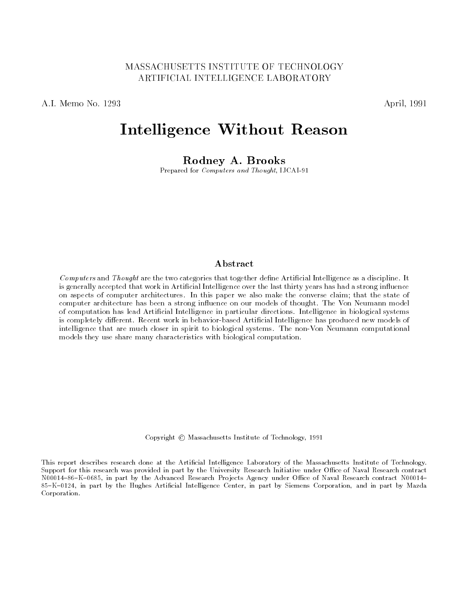# MASSACHUSETTS INSTITUTE OF TECHNOLOGY ARTIFICIAL INTELLIGENCE LABORATORY

A I Memo No. 1293 A.I. Memo No. 1293 April, 1991

# Intelligence Without Reason

Rodney A. Brooks

Prepared for Computers and Thought, IJCAI-91

# Abstract

Computers and Thought are the two categories that together define Artificial Intelligence as a discipline. It is generally accepted that work in Artificial Intelligence over the last thirty years has had a strong influence on aspects of computer architectures. In this paper we also make the converse claim; that the state of computer architecture has been a strong influence on our models of thought. The Von Neumann model of computation has lead Articial Intelligence in particular directions. Intelligence in biological systems is completely different. Recent work in behavior-based Artificial Intelligence has produced new models of intelligence that are much closer in spirit to biological systems. The non-Von Neumann computational models they use share many characteristics with biological computation.

Copyright  $\odot$  Massachusetts Institute of Technology, 1991

This report describes research done at the Articial Intelligence Laboratory of the Massachusetts Institute of Technology. Support for this research was provided in part by the University Research Initiative under Office of Naval Research contract N00014-86-K-0685, in part by the Advanced Research Projects Agency under Office of Naval Research contract N00014-85-K-0124, in part by the Hughes Artificial Intelligence Center, in part by Siemens Corporation, and in part by Mazda Corporation.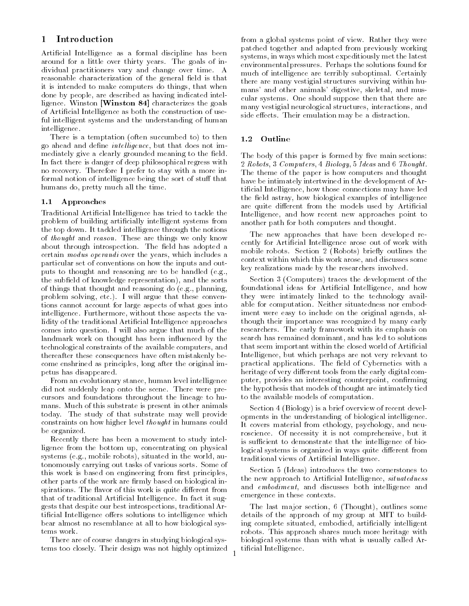#### **Introduction**  $\mathbf 1$

Articial Intelligence as a formal discipline has been around for a little over thirty years. The goals of individual practitioners vary and change over time. A reasonable characterization of the general field is that it is intended to make computers do things, that when done by people, are described as having indicated intelligence. Winston [Winston 84] characterizes the goals of Articial Intelligence as both the construction of useful intelligent systems and the understanding of human intelligence.

There is a temptation (often succumbed to) to then go ahead and define *intelligence*, but that does not immediately give a clearly grounded meaning to the field. In fact there is danger of deep philosophical regress with no recovery. Therefore I prefer to stay with a more informal notion of intelligence being the sort of stuff that humans do, pretty much all the time.

# 1.1 Approaches

Traditional Articial Intelligence has tried to tackle the problem of building articially intelligent systems from the top down. It tackled intelligence through the notions of thought and reason. These are things we only know about through introspection. The field has adopted a certain modus operandi over the years, which includes a particular set of conventions on how the inputs and outputs to thought and reasoning are to be handled (e.g., the subfield of knowledge representation), and the sorts of things that thought and reasoning do (e.g., planning, problem solving, etc.). I will argue that these conventions cannot account for large aspects of what goes into intelligence. Furthermore, without those aspects the validity of the traditional Artificial Intelligence approaches comes into question. I will also argue that much of the landmark work on thought has been influenced by the technological constraints of the available computers, and thereafter these consequences have often mistakenly become enshrined as principles, long after the original impetus has disappeared.

From an evolutionary stance, human level intelligence did not suddenly leap onto the scene. There were precursors and foundations throughout the lineage to hu mans. Much of this substrate is present in other animals today. The study of that substrate may well provide constraints on how higher level thought in humans could be organized.

Recently there has been a movement to study intelligence from the bottom up, concentrating on physical systems (e.g., mobile robots), situated in the world, autonomously carrying out tasks of various sorts. Some of this work is based on engineering from first principles, other parts of the work are firmly based on biological inspirations. The flavor of this work is quite different from that of traditional Artificial Intelligence. In fact it suggests that despite our best introspections, traditional Artificial Intelligence offers solutions to intelligence which bear almost no resemblance at all to how biological systems work.

There are of course dangers in studying biological systems too closely. Their design was not highly optimized from a global systems point of view. Rather they were patched together and adapted from previously working systems, in ways which most expeditiously met the latest environmental pressures. Perhaps the solutions found for much of intelligence are terribly suboptimal. Certainly there are many vestigial structures surviving within hu mans' and other animals' digestive, skeletal, and muscular systems. One should suppose then that there are many vestigial neurological structures, interactions, and side effects. Their emulation may be a distraction.

## 1.2 Outline

The body of this paper is formed by five main sections: 2 Robots, 3 Computers, 4 Biology, 5 Ideas and 6 Thought. The theme of the paper is how computers and thought have be intimately intertwined in the development of Articial Intelligence, how those connections may have led the field astray, how biological examples of intelligence are quite different from the models used by Artificial Intelligence, and how recent new approaches point to another path for both computers and thought.

The new approaches that have been developed recently for Articial Intelligence arose out of work with mobile robots. Section 2 (Robots) briefly outlines the context within which this work arose, and discusses some key realizations made by the researchers involved.

Section 3 (Computers) traces the development of the foundational ideas for Articial Intelligence, and how they were intimately linked to the technology available for computation. Neither situatedness nor embodiment were easy to include on the original agenda, although their importance was recognized by many early researchers. The early framework with its emphasis on search has remained dominant, and has led to solutions that seem important within the closed world of Articial Intelligence, but which perhaps are not very relevant to practical applications. The field of Cybernetics with a heritage of very dierent tools from the early digital computer, provides an interesting counterpoint, confirming the hypothesis that models of thought are intimately tied to the available models of computation.

Section 4 (Biology) is a brief overview of recent developments in the understanding of biological intelligence. It covers material from ethology, psychology, and neuroscience. Of necessity it is not comprehensive, but it is sufficient to demonstrate that the intelligence of biological systems is organized in ways quite different from traditional views of Articial Intelligence.

Section 5 (Ideas) introduces the two cornerstones to the new approach to Artificial Intelligence, situatedness and embodiment, and discusses both intelligence and emergence in these contexts.

The last major section, 6 (Thought), outlines some details of the approach of my group at MIT to building complete situated, embodied, articially intelligent robots. This approach shares much more heritage with biological systems than with what is usually called Articial Intelligence.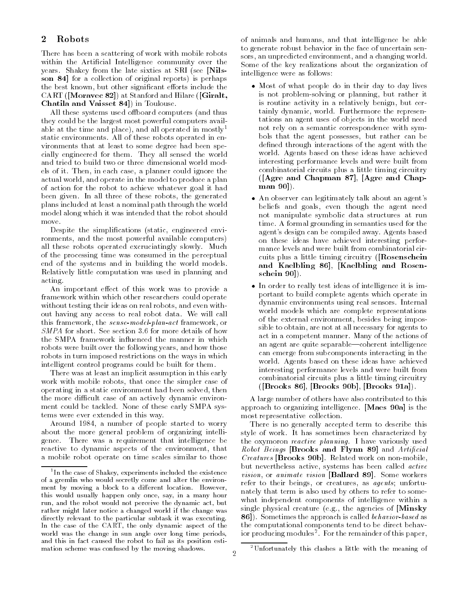#### Robots  $\mathbf 2$

There has been a scattering of work with mobile robots within the Artificial Intelligence community over the years. Shakey from the late sixties at SRI (see [Nilsson 84] for a collection of original reports) is perhaps the best known, but other significant efforts include the CART ([Moravec 82]) at Stanford and Hilare ([Giralt, Chatila and Vaisset 84]) in Toulouse.

All these systems used offboard computers (and thus they could be the largest most powerful computers available at the time and place), and all operated in mostly<sup>1</sup> static environments. All of these robots operated in environments that at least to some degree had been specially engineered for them. They all sensed the world and tried to build two or three dimensional world models of it. Then, in each case, a planner could ignore the actual world, and operate in the model to produce a plan of action for the robot to achieve whatever goal it had been given. In all three of these robots, the generated plans included at least a nominal path through the world model along which it was intended that the robot should move.

Despite the simplications (static, engineered environments, and the most powerful available computers) all these robots operated excruciatingly slowly. Much of the processing time was consumed in the perceptual end of the systems and in building the world models. Relatively little computation was used in planning and acting.

An important effect of this work was to provide a framework within which other researchers could operate without testing their ideas on real robots, and even without having any access to real robot data. We will call this framework, the sense-model-plan-act framework, or SMPA for short. See section 3.6 for more details of how the SMPA framework influenced the manner in which robots were built over the following years, and how those robots in turn imposed restrictions on the ways in which intelligent control programs could be built for them.

There was at least an implicit assumption in this early work with mobile robots, that once the simpler case of operating in a static environment had been solved, then the more difficult case of an actively dynamic environment could be tackled. None of these early SMPA systems were ever extended in this way.

Around 1984, a number of people started to worry about the more general problem of organizing intelligence. There was a requirement that intelligence be reactive to dynamic aspects of the environment, that a mobile robot operate on time scales similar to those

of animals and humans, and that intelligence be able to generate robust behavior in the face of uncertain sensors, an unpredicted environment, and a changing world. Some of the key realizations about the organization of intelligence were as follows:

- Most of what people do in their day to day lives is not problem-solving or planning, but rather it is routine activity in a relatively benign, but certainly dynamic, world. Furthermore the representations an agent uses of objects in the world need not rely on a semantic correspondence with symbols that the agent possesses, but rather can be defined through interactions of the agent with the world. Agents based on these ideas have achieved interesting performance levels and were built from combinatorial circuits plus a little timing circuitry ([Agre and Chapman 87], [Agre and Chapman 90]).
- An observer can legitimately talk about an agent's beliefs and goals, even though the agent need not manipulate symbolic data structures at run time. A formal grounding in semantics used for the agent's design can be compiled away. Agents based on these ideas have achieved interesting performance levels and were built from combinatorial circuits plus a little timing circuitry ([Rosenschein and Kaelbling 86], [Kaelbling and Rosenschein 90]).
- In order to really test ideas of intelligence it is important to build complete agents which operate in dynamic environments using real sensors. Internal world models which are complete representations of the external environment, besides being impossible to obtain, are not at all necessary for agents to act in a competent manner. Many of the actions of an agent are quite separable-coherent intelligence can emerge from subcomponents interacting in the world. Agents based on these ideas have achieved interesting performance levels and were built from combinatorial circuits plus a little timing circuitry ([Brooks 86], [Brooks 90b], [Brooks 91a]).

A large number of others have also contributed to this approach to organizing intelligence. [Maes 90a] is the most representative collection.

There is no generally accepted term to describe this style of work. It has sometimes been characterized by the oxymoron reactive planning. I have variously used Robot Beings [Brooks and Flynn 89] and Artificial Creatures [Brooks 90b]. Related work on non-mobile, but nevertheless active, systems has been called active vision, or animate vision [Ballard 89]. Some workers refer to their beings, or creatures, as *agents*; unfortunately that term is also used by others to refer to somewhat independent components of intelligence within a single physical creature (e.g., the agencies of [Minsky 86]). Sometimes the approach is called behavior-based as the computational components tend to be direct behavior producing modules . For the remainder of this paper,  $\,$ 

<sup>1</sup> In the case of Shakey, experiments included the existence of a gremlin who would secretly come and alter the environ ment by moving a block to a different location. However, this would usually happen only once, say, in a many hour run, and the robot would not perceive the dynamic act, but rather might later notice a changed world if the change was directly relevant to the particular subtask it was executing. In the case of the CART, the only dynamic aspect of the world was the change in sun angle over long time periods, and this in fact caused the robot to fail as its position estimation scheme was confused by the moving shadows.

<sup>2</sup>Unfortunately this clashes a little with the meaning of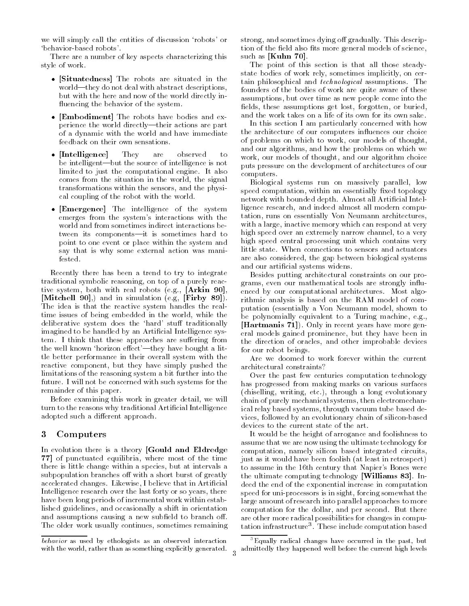we will simply call the entities of discussion `robots' or `behavior-based robots'.

There are a number of key aspects characterizing this style of work.

- [Situatedness] The robots are situated in the world—they do not deal with abstract descriptions, but with the here and now of the world directly in fluencing the behavior of the system.
- . **Extractations** have robots have bodies which on perience the world directly-their actions are part of a dynamic with the world and have immediate feedback on their own sensations.
- are to [Intelligence] They are observed to be intelligent—but the source of intelligence is not limited to just the computational engine. It also comes from the situation in the world, the signal transformations within the sensors, and the physical coupling of the robot with the world.
- [Emergence] The intelligence of the system emerges from the system's interactions with the world and from sometimes indirect interactions between its components-it is sometimes hard to point to one event or place within the system and say that is why some external action was manifested.

Recently there has been a trend to try to integrate traditional symbolic reasoning, on top of a purely reactive system, both with real robots (e.g., [Arkin 90], [Mitchell 90],) and in simulation (e.g, [Firby 89]). The idea is that the reactive system handles the realtime issues of being embedded in the world, while the deliberative system does the 'hard' stuff traditionally imagined to be handled by an Artificial Intelligence system. I think that these approaches are suffering from the well known 'horizon effect'—they have bought a little better performance in their overall system with the reactive component, but they have simply pushed the limitations of the reasoning system a bit further into the future. I will not be concerned with such systems for the remainder of this paper.

Before examining this work in greater detail, we will turn to the reasons why traditional Artificial Intelligence adopted such a different approach.

#### **Computers** 3

In evolution there is a theory [Gould and Eldredge 77] of punctuated equilibria, where most of the time there is little change within a species, but at intervals a subpopulation branches off with a short burst of greatly accelerated changes. Likewise, I believe that in Artificial Intelligence research over the last forty or so years, there have been long periods of incremental work within established guidelines, and occasionally a shift in orientation and assumptions causing a new subfield to branch off. The older work usually continues, sometimes remaining strong, and sometimes dying off gradually. This description of the field also fits more general models of science, such as [Kuhn 70].

The point of this section is that all those steadystate bodies of work rely, sometimes implicitly, on certain philosophical and technological assumptions. The founders of the bodies of work are quite aware of these assumptions, but over time as new people come into the fields, these assumptions get lost, forgotten, or buried,

In this section I am particularly concerned with how the architecture of our computers influences our choice of problems on which to work, our models of thought, and our algorithms, and how the problems on which we work, our models of thought, and our algorithm choice puts pressure on the development of architectures of our computers.

Biological systems run on massively parallel, low speed computation, within an essentially fixed topology network with bounded depth. Almost all Artificial Intelligence research, and indeed almost all modern computation, runs on essentially Von Neumann architectures, with a large, inactive memory which can respond at very high speed over an extremely narrow channel, to a very high speed central processing unit which contains very little state. When connections to sensors and actuators are also considered, the gap between biological systems and our articial systems widens.

Besides putting architectural constraints on our programs, even our mathematical tools are strongly in
uenced by our computational architectures. Most algorithmic analysis is based on the RAM model of computation (essentially a Von Neumann model, shown to be polynomially equivalent to a Turing machine, e.g., [Hartmanis 71]). Only in recent years have more general models gained prominence, but they have been in the direction of oracles, and other improbable devices for our robot beings.

Are we doomed to work forever within the current architectural constraints?

Over the past few centuries computation technology has progressed from making marks on various surfaces (chiselling, writing, etc.), through a long evolutionary chain of purely mechanical systems, then electromechanical relay based systems, through vacuum tube based devices, followed by an evolutionary chain of silicon-based devices to the current state of the art.

It would be the height of arrogance and foolishness to assume that we are now using the ultimate technology for computation, namely silicon based integrated circuits, just as it would have been foolish (at least in retrospect) to assume in the 16th century that Napier's Bones were the ultimate computing technology [Williams 83]. Indeed the end of the exponential increase in computation speed for uni-processors is in sight, forcing somewhat the large amount of research into parallel approaches to more computation for the dollar, and per second. But there are other more radical possibilities for changes in computation infrastructure3 . These include computation based

behavior as used by ethologists as an observed interaction with the world, rather than as something explicitly generated.

<sup>3</sup>Equally radical changes have occurred in the past, but admittedly they happened well before the current high levels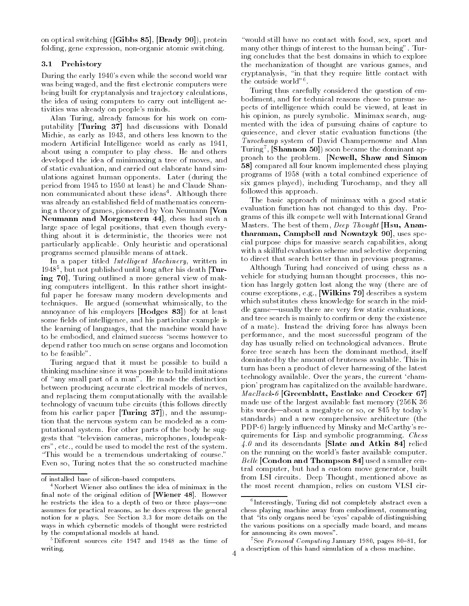on optical switching ([Gibbs 85], [Brady 90]), protein folding, gene expression, non-organic atomic switching.

#### 3.1 Prehistory

During the early 1940's even while the second world war was being waged, and the first electronic computers were being built for cryptanalysis and trajectory calculations, the idea of using computers to carry out intelligent activities was already on people's minds.

Alan Turing, already famous for his work on computability [Turing 37] had discussions with Donald Michie, as early as 1943, and others less known to the modern Articial Intelligence world as early as 1941, about using a computer to play chess. He and others developed the idea of minimaxing a tree of moves, and of static evaluation, and carried out elaborate hand simulations against human opponents. Later (during the period from 1945 to 1950 at least) he and Claude Shan non communicated about these ideas". Although there was already an established field of mathematics concerning a theory of games, pioneered by Von Neumann [Von Neumann and Morgenstern 44], chess had such a large space of legal positions, that even though everything about it is deterministic, the theories were not particularly applicable. Only heuristic and operational programs seemed plausible means of attack.

In a paper titled Intelligent Machinery, written in 19485 , but not published until long after his death [Turing 70], Turing outlined a more general view of making computers intelligent. In this rather short insightful paper he foresaw many modern developments and techniques. He argued (somewhat whimsically, to the annoyance of his employers [Hodges 83]) for at least some fields of intelligence, and his particular example is the learning of languages, that the machine would have to be embodied, and claimed success "seems however to depend rather too much on sense organs and locomotion to be feasible".

Turing argued that it must be possible to build a thinking machine since it was possible to build imitations of "any small part of a man". He made the distinction between producing accurate electrical models of nerves, and replacing them computationally with the available technology of vacuum tube circuits (this follows directly from his earlier paper [Turing 37]), and the assumption that the nervous system can be modeled as a computational system. For other parts of the body he suggests that \television cameras, microphones, loudspeakers", etc., could be used to model the rest of the system. "This would be a tremendous undertaking of course." Even so, Turing notes that the so constructed machine

\would still have no contact with food, sex, sport and many other things of interest to the human being". Turing concludes that the best domains in which to explore the mechanization of thought are various games, and cryptanalysis, \in that they require little contact with the outside world fl

Turing thus carefully considered the question of embodiment, and for technical reasons chose to pursue aspects of intelligence which could be viewed, at least in his opinion, as purely symbolic. Minimax search, aug mented with the idea of pursuing chains of capture to quiescence, and clever static evaluation functions (the Turochamp system of David Champernowne and Alan Turing7 , [Shannon 50]) soon became the dominant approach to the problem. [Newell, Shaw and Simon 58] compared all four known implemented chess playing programs of 1958 (with a total combined experience of six games played), including Turochamp, and they all followed this approach.

The basic approach of minimax with a good static evaluation function has not changed to this day. Programs of this ilk compete well with International Grand Masters. The best of them, *Deep Thought* [Hsu, Anantharaman, Campbell and Nowatzyk 90], uses special purpose chips for massive search capabilities, along with a skillful evaluation scheme and selective deepening to direct that search better than in previous programs.

Although Turing had conceived of using chess as a vehicle for studying human thought processes, this notion has largely gotten lost along the way (there are of course exceptions, e.g., [Wilkins 79] describes a system which substitutes chess knowledge for search in the middle game—usually there are very few static evaluations, and tree search is mainly to confirm or deny the existence of a mate). Instead the driving force has always been performance, and the most successful program of the day has usually relied on technological advances. Brute force tree search has been the dominant method, itself dominated by the amount of bruteness available. This in turn has been a product of clever harnessing of the latest technology available. Over the years, the current `champion' program has capitalized on the available hardware. MacHack-6 [Greenblatt, Eastlake and Crocker 67] made use of the largest available fast memory (256K 36 bits words—about a megabyte or so, or \$45 by today's standards) and a new comprehensive architecture (the PDP-6) largely influenced by Minsky and McCarthy's requirements for Lisp and symbolic programming. Chess 4.0 and its descendants [Slate and Atkin 84] relied on the running on the world's faster available computer. Belle [Condon and Thompson 84] used a smaller central computer, but had a custom move generator, built from LSI circuits. Deep Thought, mentioned above as the most recent champion, relies on custom VLSI cir-

of installed base of silicon-based computers.

<sup>4</sup>Norbert Wiener also outlines the idea of minimax in the final note of the original edition of [Wiener 48]. However he restricts the idea to a depth of two or three plays—one assumes for practical reasons, as he does express the general notion for <sup>n</sup> plays. See Section 3.3 for more details on the ways in which cybernetic models of thought were restricted by the computational models at hand.

 $5$ Different sources cite 1947 and 1948 as the time of writing.

<sup>6</sup> Interestingly, Turing did not completely abstract even a chess playing machine away from embodiment, commenting that "its only organs need be 'eyes' capable of distinguishing the various positions on a specially made board, and means for announcing its own moves".

<sup>&</sup>lt;sup>7</sup>See *Personal Computing* January 1980, pages 80-81, for a description of this hand simulation of a chess machine.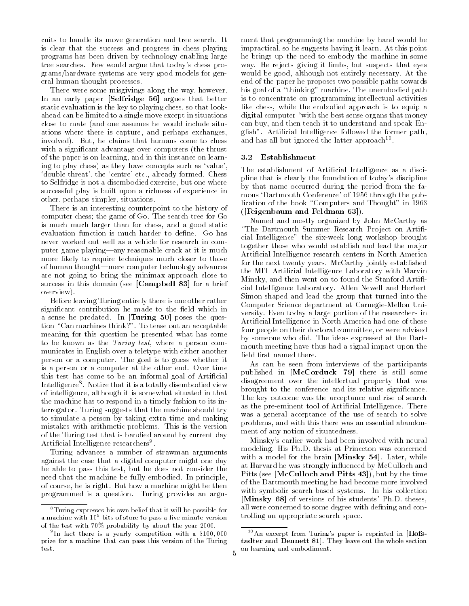cuits to handle its move generation and tree search. It is clear that the success and progress in chess playing programs has been driven by technology enabling large tree searches. Few would argue that today's chess programs/hardware systems are very good models for general human thought processes.

There were some misgivings along the way, however. In an early paper [Selfridge 56] argues that better static evaluation is the key to playing chess, so that lookahead can be limited to a single move except in situations close to mate (and one assumes he would include situations where there is capture, and perhaps exchanges, involved). But, he claims that humans come to chess with a signicant advantage over computers (the thrust of the paper is on learning, and in this instance on learning to play chess) as they have concepts such as 'value', `double threat', the `centre' etc., already formed. Chess to Selfridge is not a disembodied exercise, but one where successful play is built upon a richness of experience in other, perhaps simpler, situations.

There is an interesting counterpoint to the history of computer chess; the game of Go. The search tree for Go is much much larger than for chess, and a good static evaluation function is much harder to define. Go has never worked out well as a vehicle for research in computer game playing—any reasonable crack at it is much more likely to require techniques much closer to those of human thought—mere computer technology advances are not going to bring the minimax approach close to success in this domain (see [Campbell 83] for a brief overview).

Before leaving Turing entirely there is one other rather significant contribution he made to the field which in a sense he predated. In [Turing 50] poses the question "Can machines think?". To tease out an acceptable meaning for this question he presented what has come to be known as the Turing test, where a person com municates in English over a teletype with either another person or a computer. The goal is to guess whether it is a person or a computer at the other end. Over time this test has come to be an informal goal of Artificial Intelligence". Notice that it is a totally disembodied view  $\qquad$  , of intelligence, although it is somewhat situated in that the machine has to respond in a timely fashion to its interrogator. Turing suggests that the machine should try to simulate a person by taking extra time and making mistakes with arithmetic problems. This is the version of the Turing test that is bandied around by current day Artincial intemgence researchers<sup>.</sup> . -

Turing advances a number of strawman arguments against the case that a digital computer might one day be able to pass this test, but he does not consider the need that the machine be fully embodied. In principle, of course, he is right. But how a machine might be then programmed is a question. Turing provides an argument that programming the machine by hand would be impractical, so he suggests having it learn. At this point he brings up the need to embody the machine in some way. He rejects giving it limbs, but suspects that eyes would be good, although not entirely necessary. At the end of the paper he proposes two possible paths towards his goal of a "thinking" machine. The unembodied path is to concentrate on programming intellectual activities like chess, while the embodied approach is to equip a digital computer "with the best sense organs that money can buy, and then teach it to understand and speak English". Articial Intelligence followed the former path, and has an out ignored the latter approached.

### 3.2 Establishment

The establishment of Artificial Intelligence as a discipline that is clearly the foundation of today's discipline by that name occurred during the period from the famous `Dartmouth Conference' of 1956 through the publication of the book "Computers and Thought" in 1963 ([Feigenbaum and Feldman 63]).

Named and mostly organized by John McCarthy as "The Dartmouth Summer Research Project on Artificial Intelligence" the six-week long workshop brought together those who would establish and lead the major Articial Intelligence research centers in North America for the next twenty years. McCarthy jointly established the MIT Articial Intelligence Laboratory with Marvin Minsky, and then went on to found the Stanford Artificial Intelligence Laboratory. Allen Newell and Herbert Simon shaped and lead the group that turned into the Computer Science department at Carnegie-Mellon Uni versity. Even today a large portion of the researchers in Articial Intelligence in North America had one of these four people on their doctoral committee, or were advised by someone who did. The ideas expressed at the Dartmouth meeting have thus had a signal impact upon the field first named there.

As can be seen from interviews of the participants published in [McCorduck 79] there is still some disagreement over the intellectual property that was brought to the conference and its relative signicance. The key outcome was the acceptance and rise of search as the pre-eminent tool of Articial Intelligence. There was a general acceptance of the use of search to solve problems, and with this there was an essential abandon ment of any notion of situatedness.

Minsky's earlier work had been involved with neural modeling. His Ph.D. thesis at Princeton was concerned with a model for the brain [Minsky 54]. Later, while at Harvard he was strongly influenced by McCulloch and Pitts (see [McCulloch and Pitts 43]), but by the time of the Dartmouth meeting he had become more involved with symbolic search-based systems. In his collection [Minsky 68] of versions of his students' Ph.D. theses, all were concerned to some degree with defining and controlling an appropriate search space.

<sup>8</sup>Turing expresses his own belief that it will be possible for a machine with 10<sup>9</sup> bits of store to pass a five minute version of the test with 70% probability by about the year 2000.

<sup>9</sup> In fact there is a yearly competition with a \$100; 000 prize for a machine that can pass this version of the Turing test.

<sup>&</sup>lt;sup>10</sup>An excerpt from Turing's paper is reprinted in [Hofstadter and Dennett 81]. They leave out the whole section on learning and embodiment.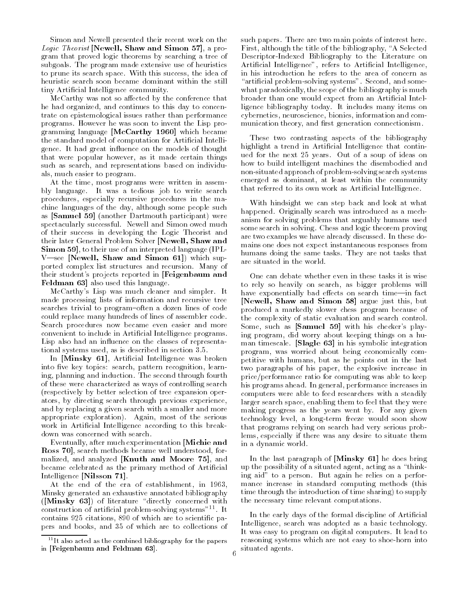Simon and Newell presented their recent work on the Logic Theorist [Newell, Shaw and Simon 57], a program that proved logic theorems by searching a tree of subgoals. The program made extensive use of heuristics to prune its search space. With this success, the idea of heuristic search soon became dominant within the still tiny Articial Intelligence community.

 $\operatorname{McCarthy}$  was not so affected by the conference that he had organized, and continues to this day to concentrate on epistemological issues rather than performance programs. However he was soon to invent the Lisp programming language [McCarthy 1960] which became the standard model of computation for Artificial Intelligence. It had great in
uence on the models of thought that were popular however, as it made certain things such as search, and representations based on individuals, much easier to program.

At the time, most programs were written in assembly language. It was a tedious job to write search procedures, especially recursive procedures in the machine languages of the day, although some people such as [Samuel 59] (another Dartmouth participant) were spectacularly successful. Newell and Simon owed much of their success in developing the Logic Theorist and their later General Problem Solver [Newell, Shaw and Simon 59], to their use of an interpreted language (IPL- $V$ —see [Newell, Shaw and Simon 61]) which supported complex list structures and recursion. Many of their student's projects reported in [Feigenbaum and Feldman 63] also used this language.

McCarthy's Lisp was much cleaner and simpler. It made processing lists of information and recursive tree searches trivial to program-often a dozen lines of code could replace many hundreds of lines of assembler code. Search procedures now became even easier and more convenient to include in Articial Intelligence programs. Lisp also had an influence on the classes of representational systems used, as is described in section 3.5.

In [Minsky 61], Artificial Intelligence was broken into five key topics: search, pattern recognition, learning, planning and induction. The second through fourth of these were characterized as ways of controlling search (respectively by better selection of tree expansion operators, by directing search through previous experience, and by replacing a given search with a smaller and more appropriate exploration). Again, most of the serious work in Articial Intelligence according to this breakdown was concerned with search.

Eventually, after much experimentation [Michie and Ross 70], search methods became well understood, formalized, and analyzed [Knuth and Moore 75], and became celebrated as the primary method of Artificial Intelligence [Nilsson 71].

At the end of the era of establishment, in 1963, Minsky generated an exhaustive annotated bibliography  $([{\bf Minsky\ 63}])$  of literature "directly concerned with construction of articial problem-solving systems"11. It contains 925 citations, 890 of which are to scientific papers and books, and 35 of which are to collections of such papers. There are two main points of interest here. First, although the title of the bibliography, "A Selected Descriptor-Indexed Bibliography to the Literature on Articial Intelligence", refers to Articial Intelligence, in his introduction he refers to the area of concern as "artificial problem-solving systems". Second, and somewhat paradoxically, the scope of the bibliography is much broader than one would expect from an Articial Intelligence bibliography today. It includes many items on cybernetics, neuroscience, bionics, information and com munication theory, and first generation connectionism.

These two contrasting aspects of the bibliography highlight a trend in Artificial Intelligence that continued for the next 25 years. Out of a soup of ideas on how to build intelligent machines the disembodied and non-situated approach of problem-solving search systems emerged as dominant, at least within the community that referred to its own work as Articial Intelligence.

With hindsight we can step back and look at what happened. Originally search was introduced as a mechanism for solving problems that arguably humans used some search in solving. Chess and logic theorem proving are two examples we have already discussed. In these domains one does not expect instantaneous responses from humans doing the same tasks. They are not tasks that are situated in the world.

One can debate whether even in these tasks it is wise to rely so heavily on search, as bigger problems will have exponentially bad effects on search time—in fact [Newell, Shaw and Simon 58] argue just this, but produced a markedly slower chess program because of the complexity of static evaluation and search control. Some, such as [Samuel 59] with his checker's playing program, did worry about keeping things on a hu man timescale. [Slagle 63] in his symbolic integration program, was worried about being economically competitive with humans, but as he points out in the last two paragraphs of his paper, the explosive increase in price/performance ratio for computing was able to keep his programs ahead. In general, performance increases in computers were able to feed researchers with a steadily larger search space, enabling them to feel that they were making progress as the years went by. For any given technology level, a long-term freeze would soon show that programs relying on search had very serious problems, especially if there was any desire to situate them in a dynamic world.

In the last paragraph of [Minsky 61] he does bring up the possibility of a situated agent, acting as a \thinking aid" to a person. But again he relies on a performance increase in standard computing methods (this time through the introduction of time sharing) to supply the necessary time relevant computations.

In the early days of the formal discipline of Artificial Intelligence, search was adopted as a basic technology. It was easy to program on digital computers. It lead to reasoning systems which are not easy to shoe-horn into situated agents.

<sup>&</sup>lt;sup>11</sup>It also acted as the combined bibliography for the papers in [Feigenbaum and Feldman 63].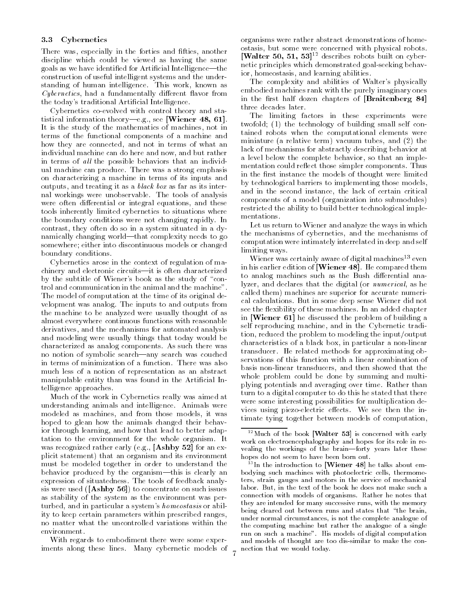#### 3.3 Cybernetics

There was, especially in the forties and fifties, another discipline which could be viewed as having the same goals as we have identified for Artificial Intelligence—the construction of useful intelligent systems and the understanding of human intelligence. This work, known as  $Cybernetics$ , had a fundamentally different flavor from the today's traditional Articial Intelligence.

Cybernetics co-evolved with control theory and statistical information theory-e.g., see [Wiener 48, 61]. It is the study of the mathematics of machines, not in terms of the functional components of a machine and how they are connected, and not in terms of what an individual machine can do here and now, and but rather in terms of all the possible behaviors that an individual machine can produce. There was a strong emphasis on characterizing a machine in terms of its inputs and outputs, and treating it as a black box as far as its internal workings were unobservable. The tools of analysis were often differential or integral equations, and these tools inherently limited cybernetics to situations where the boundary conditions were not changing rapidly. In contrast, they often do so in a system situated in a dynamically changing world—that complexity needs to go somewhere; either into discontinuous models or changed boundary conditions.

Cybernetics arose in the context of regulation of machinery and electronic circuits—it is often characterized by the subtitle of Wiener's book as the study of "control and communication in the animal and the machine". The model of computation at the time of its original development was analog. The inputs to and outputs from the machine to be analyzed were usually thought of as almost everywhere continuous functions with reasonable derivatives, and the mechanisms for automated analysis and modeling were usually things that today would be characterized as analog components. As such there was no notion of symbolic search—any search was couched in terms of minimization of a function. There was also much less of a notion of representation as an abstract manipulable entity than was found in the Artificial Intelligence approaches.

Much of the work in Cybernetics really was aimed at understanding animals and intelligence. Animals were modeled as machines, and from those models, it was hoped to glean how the animals changed their behavior through learning, and how that lead to better adaptation to the environment for the whole organism. It was recognized rather early (e.g., [Ashby 52] for an explicit statement) that an organism and its environment must be modeled together in order to understand the behavior produced by the organism—this is clearly an expression of situatedness. The tools of feedback analysis were used ([Ashby 56]) to concentrate on such issues as stability of the system as the environment was perturbed, and in particular a system's homeostasis or ability to keep certain parameters within prescribed ranges, no matter what the uncontrolled variations within the environment.

With regards to embodiment there were some experiments along these lines. Many cybernetic models of organisms were rather abstract demonstrations of home-[Walter 50, 51, 53]<sup>12</sup> describes robots built on cybernetic principles which demonstrated goal-seeking behavior, homeostasis, and learning abilities.

The complexity and abilities of Walter's physically embodied machines rank with the purely imaginary ones in the first half dozen chapters of  $\left[Braitenberg 84\right]$ three decades later.

The limiting factors in these experiments were twofold; (1) the technology of building small self contained robots when the computational elements were miniature (a relative term) vacuum tubes, and (2) the lack of mechanisms for abstractly describing behavior at a level below the complete behavior, so that an imple mentation could reflect those simpler components. Thus in the first instance the models of thought were limited by technological barriers to implementing those models, and in the second instance, the lack of certain critical components of a model (organization into submodules) restricted the ability to build better technological imple mentations.

Let us return to Wiener and analyze the ways in which the mechanisms of cybernetics, and the mechanisms of computation were intimately interrelated in deep and self limiting ways.

Wiener was certainly aware of digital machines<sup>13</sup> even in his earlier edition of [Wiener 48]. He compared them to analog machines such as the Bush differential analyzer, and declares that the digital (or numerical, as he called them) machines are superior for accurate numerical calculations. But in some deep sense Wiener did not see the flexibility of these machines. In an added chapter in [Wiener 61] he discussed the problem of building a self reproducing machine, and in the Cybernetic tradition, reduced the problem to modeling the input/output characteristics of a black box, in particular a non-linear transducer. He related methods for approximating observations of this function with a linear combination of basis non-linear transducers, and then showed that the whole problem could be done by summing and multiplying potentials and averaging over time. Rather than turn to a digital computer to do this he stated that there were some interesting possibilities for multiplication devices using piezo-electric effects. We see then the intimate tying together between models of computation,

 $12$ Much of the book [Walter 53] is concerned with early work on electroencephalography and hopes for its role in re vealing the workings of the brain-forty years later these hopes do not seem to have been born out.

 $\lceil$  In the introduction to [Wiener 48] he talks about embodying such machines with photoelectric cells, thermometers, strain gauges and motors in the service of mechanical labor. But, in the text of the book he does not make such a connection with models of organisms. Rather he notes that they are intended for many successive runs, with the memory being cleared out between runs and states that "the brain, under normal circumstances, is not the complete analogue of the computing machine but rather the analogue of a single run on such a machine". His models of digital computation and models of thought are too dis-similar to make the connection that we would today.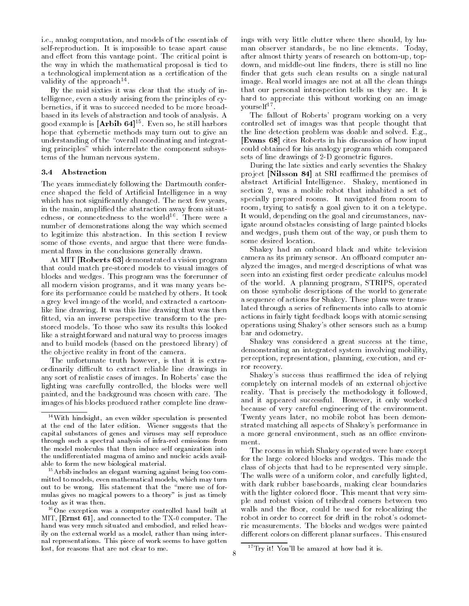i.e., analog computation, and models of the essentials of self-reproduction. It is impossible to tease apart cause and effect from this vantage point. The critical point is the way in which the mathematical proposal is tied to a technological implementation as a certication of the validity of the approach the validity of  $\mu$ 

By the mid sixties it was clear that the study of intelligence, even a study arising from the principles of cybernetics, if it was to succeed needed to be more broadbased in its levels of abstraction and tools of analysis. A good example is  $[Arbib 64]^{15}$ . Even so, he still harbors hope that cybernetic methods may turn out to give an understanding of the "overall coordinating and integrating principles" which interrelate the component subsystems of the human nervous system.

#### 3.4 Abstraction

The years immediately following the Dartmouth conference shaped the field of Artificial Intelligence in a way which has not significantly changed. The next few years, in the main, amplied the abstraction away from situatedness, or connectedness to the world<sup>16</sup>. There were a number of demonstrations along the way which seemed to legitimize this abstraction. In this section I review some of those events, and argue that there were funda mental flaws in the conclusions generally drawn.

At MIT [Roberts 63] demonstrated a vision program that could match pre-stored models to visual images of blocks and wedges. This program was the forerunner of all modern vision programs, and it was many years before its performance could be matched by others. It took a grey level image of the world, and extracted a cartoonlike line drawing. It was this line drawing that was then fitted, via an inverse perspective transform to the prestored models. To those who saw its results this looked like a straightforward and natural way to process images and to build models (based on the prestored library) of the objective reality in front of the camera.

The unfortunate truth however, is that it is extraordinarily difficult to extract reliable line drawings in any sort of realistic cases of images. In Roberts' case the lighting was carefully controlled, the blocks were well painted, and the background was chosen with care. The images of his blocks produced rather complete line draw-

ings with very little clutter where there should, by hu man observer standards, be no line elements. Today, after almost thirty years of research on bottom-up, topdown, and middle-out line finders, there is still no line finder that gets such clean results on a single natural image. Real world images are not at all the clean things that our personal introspection tells us they are. It is hard to appreciate this without working on an image yourself<sup>17</sup>

The fallout of Roberts' program working on a very controlled set of images was that people thought that the line detection problem was doable and solved. E.g., [Evans 68] cites Roberts in his discussion of how input could obtained for his analogy program which compared sets of line drawings of 2-D geometric figures.

During the late sixties and early seventies the Shakey project [Nilsson 84] at SRI reaffirmed the premises of abstract Articial Intelligence. Shakey, mentioned in section 2, was a mobile robot that inhabited a set of specially prepared rooms. It navigated from room to room, trying to satisfy a goal given to it on a teletype. It would, depending on the goal and circumstances, navigate around obstacles consisting of large painted blocks and wedges, push them out of the way, or push them to some desired location.

Shakey had an onboard black and white television camera as its primary sensor. An offboard computer analyzed the images, and merged descriptions of what was seen into an existing first order predicate calculus model of the world. A planning program, STRIPS, operated on those symbolic descriptions of the world to generate a sequence of actions for Shakey. These plans were translated through a series of refinements into calls to atomic actions in fairly tight feedback loops with atomic sensing operations using Shakey's other sensors such as a bump bar and odometry.

Shakey was considered a great success at the time, demonstrating an integrated system involving mobility, perception, representation, planning, execution, and error recovery.

Shakey's success thus reaffirmed the idea of relying completely on internal models of an external objective reality. That is precisely the methodology it followed, and it appeared successful. However, it only worked because of very careful engineering of the environment. Twenty years later, no mobile robot has been demonstrated matching all aspects of Shakey's performance in a more general environment, such as an office environment.

The rooms in which Shakey operated were bare except for the large colored blocks and wedges. This made the class of objects that had to be represented very simple. The walls were of a uniform color, and carefully lighted, with dark rubber baseboards, making clear boundaries with the lighter colored floor. This meant that very simple and robust vision of trihedral corners between two walls and the floor, could be used for relocalizing the robot in order to correct for drift in the robot's odometric measurements. The blocks and wedges were painted different colors on different planar surfaces. This ensured

<sup>14</sup>With hindsight, an even wilder speculation is presented at the end of the later edition. Wiener suggests that the capital substances of genes and viruses may self reproduce through such a spectral analysis of infra-red emissions from the model molecules that then induce self organization into the undifferentiated magma of amino and nucleic acids available to form the new biological material.

<sup>15</sup>Arbib includes an elegant warning against being too committed to models, even mathematical models, which may turn out to be wrong. His statement that the "mere use of formulas gives no magical powers to a theory" is just as timely today as it was then.

<sup>16</sup>One exception was a computer controlled hand built at MIT, [Ernst 61], and connected to the TX-0 computer. The hand was very much situated and embodied, and relied heavily on the external world as a model, rather than using internal representations. This piece of work seems to have gotten lost, for reasons that are not clear to me.

<sup>&</sup>lt;sup>17</sup>Try it! You'll be amazed at how bad it is.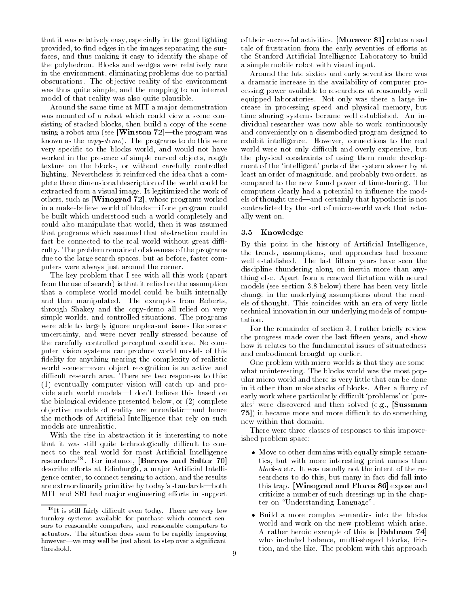that it was relatively easy, especially in the good lighting provided, to find edges in the images separating the surfaces, and thus making it easy to identify the shape of the polyhedron. Blocks and wedges were relatively rare in the environment, eliminating problems due to partial obscurations. The objective reality of the environment was thus quite simple, and the mapping to an internal model of that reality was also quite plausible.

Around the same time at MIT a major demonstration was mounted of a robot which could view a scene consisting of stacked blocks, then build a copy of the scene using a robot arm (see [Winston  $72$ ]—the program was known as the copy-demo). The programs to do this were very specic to the blocks world, and would not have worked in the presence of simple curved objects, rough texture on the blocks, or without carefully controlled lighting. Nevertheless it reinforced the idea that a complete three dimensional description of the world could be extracted from a visual image. It legitimized the work of others, such as [Winograd 72], whose programs worked in a make-believe world of blocks—if one program could be built which understood such a world completely and could also manipulate that world, then it was assumed that programs which assumed that abstraction could in fact be connected to the real world without great difficulty. The problem remained of slowness of the programs due to the large search spaces, but as before, faster computers were always just around the corner.

The key problem that I see with all this work (apart from the use of search) is that it relied on the assumption that a complete world model could be built internally and then manipulated. The examples from Roberts, through Shakey and the copy-demo all relied on very simple worlds, and controlled situations. The programs were able to largely ignore unpleasant issues like sensor uncertainty, and were never really stressed because of the carefully controlled perceptual conditions. No computer vision systems can produce world models of this delity for anything nearing the complexity of realistic world scenes-even object recognition is an active and difficult research area. There are two responses to this: (1) eventually computer vision will catch up and provide such world models—I don't believe this based on the biological evidence presented below, or (2) complete objective models of reality are unrealistic—and hence the methods of Artificial Intelligence that rely on such models are unrealistic.

With the rise in abstraction it is interesting to note that it was still quite technologically difficult to connect to the real world for most Artificial Intelligence researchers<sup>18</sup>. For instance, [Barrow and Salter 70] describe efforts at Edinburgh, a major Artificial Intelligence center, to connect sensing to action, and the results are extraordinarily primitive by today's standards—both MIT and SRI had major engineering efforts in support of their successful activities. [Moravec 81] relates a sad tale of frustration from the early seventies of efforts at the Stanford Articial Intelligence Laboratory to build a simple mobile robot with visual input.

Around the late sixties and early seventies there was a dramatic increase in the availability of computer processing power available to researchers at reasonably well equipped laboratories. Not only was there a large increase in processing speed and physical memory, but time sharing systems became well established. An individual researcher was now able to work continuously and conveniently on a disembodied program designed to exhibit intelligence. However, connections to the real world were not only difficult and overly expensive, but the physical constraints of using them made develop ment of the `intelligent' parts of the system slower by at least an order of magnitude, and probably two orders, as compared to the new found power of timesharing. The computers clearly had a potential to influence the models of thought used—and certainly that hypothesis is not contradicted by the sort of micro-world work that actually went on.

#### 3.5 Knowledge

By this point in the history of Artificial Intelligence, the trends, assumptions, and approaches had become well established. The last fteen years have seen the discipline thundering along on inertia more than anything else. Apart from a renewed flirtation with neural models (see section 3.8 below) there has been very little change in the underlying assumptions about the models of thought. This coincides with an era of very little technical innovation in our underlying models of computation.

For the remainder of section 3, I rather briefly review the progress made over the last fteen years, and show how it relates to the fundamental issues of situatedness and embodiment brought up earlier.

One problem with micro-worlds is that they are somewhat uninteresting. The blocks world was the most popular micro-world and there is very little that can be done in it other than make stacks of blocks. After a flurry of early work where particularly difficult 'problems' or 'puzzles' were discovered and then solved (e.g., [Sussman 75) it became more and more difficult to do something new within that domain.

There were three classes of responses to this impoverished problem space:

- Move to other domains with equally simple semantics, but with more interesting print names than  $block-a$  etc. It was usually not the intent of the researchers to do this, but many in fact did fall into this trap. [Winograd and Flores 86] expose and criticize a number of such dressings up in the chapter on \Understanding Language".
- Build a more completed semantics into the blocks world and work on the new problems which arise. A rather heroic example of this is [Fahlman 74] who included balance, multi-shaped blocks, friction, and the like. The problem with this approach

 $18$ It is still fairly difficult even today. There are very few turnkey systems available for purchase which connect sensors to reasonable computers, and reasonable computers to actuators. The situation does seem to be rapidly improving however—we may well be just about to step over a significant threshold.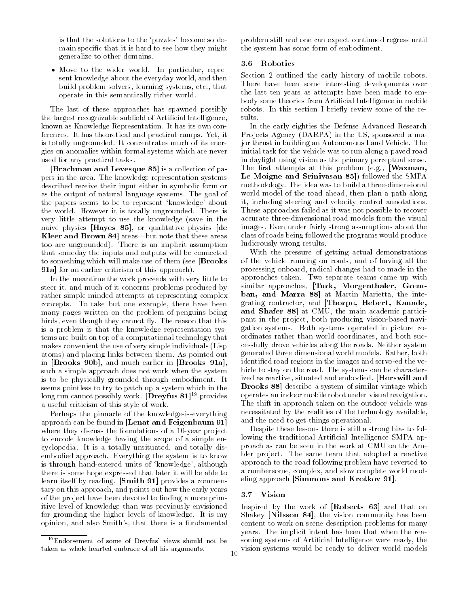is that the solutions to the `puzzles' become so domain specic that it is hard to see how they might generalize to other domains.

 Move to the wider world. In particular, represent knowledge about the everyday world, and then build problem solvers, learning systems, etc., that operate in this semantically richer world.

The last of these approaches has spawned possibly the largest recognizable subfield of Artificial Intelligence, known as Knowledge Representation. It has its own conferences. It has theoretical and practical camps. Yet, it is totally ungrounded. It concentrates much of its energies on anomalies within formal systems which are never used for any practical tasks.

[Brachman and Levesque 85] is a collection of papers in the area. The knowledge representation systems described receive their input either in symbolic form or as the output of natural language systems. The goal of the papers seems to be to represent `knowledge' about the world. However it is totally ungrounded. There is very little attempt to use the knowledge (save in the naive physics [Hayes 85], or qualitative physics [de Kleer and Brown 84 areas—but note that these areas too are ungrounded). There is an implicit assumption that someday the inputs and outputs will be connected to something which will make use of them (see [Brooks 91a] for an earlier criticism of this approach).

In the meantime the work proceeds with very little to steer it, and much of it concerns problems produced by rather simple-minded attempts at representing complex concepts. To take but one example, there have been many pages written on the problem of penguins being birds, even though they cannot fly. The reason that this is a problem is that the knowledge representation systems are built on top of a computational technology that makes convenient the use of very simple individuals (Lisp atoms) and placing links between them. As pointed out in [Brooks 90b], and much earlier in [Brooks 91a], such a simple approach does not work when the system is to be physically grounded through embodiment. It seems pointless to try to patch up a system which in the long run cannot possibly work. [Dreyfus  $81]^{19}$  provides a useful criticism of this style of work.

Perhaps the pinnacle of the knowledge-is-everything approach can be found in [Lenat and Feigenbaum 91] where they discuss the foundations of a 10-year project to encode knowledge having the scope of a simple encyclopedia. It is a totally unsituated, and totally disembodied approach. Everything the system is to know is through hand-entered units of 'knowledge', although there is some hope expressed that later it will be able to learn itself by reading. [Smith 91] provides a commentary on this approach, and points out how the early years of the project have been devoted to finding a more primitive level of knowledge than was previously envisioned for grounding the higher levels of knowledge. It is my opinion, and also Smith's, that there is a fundamental problem still and one can expect continued regress until the system has some form of embodiment.

#### 3.6 Robotics

Section 2 outlined the early history of mobile robots. There have been some interesting developments over the last ten years as attempts have been made to embody some theories from Articial Intelligence in mobile robots. In this section I briefly review some of the results.

In the early eighties the Defense Advanced Research Projects Agency (DARPA) in the US, sponsored a major thrust in building an Autonomous Land Vehicle. The initial task for the vehicle was to run along a paved road in daylight using vision as the primary perceptual sense. The first attempts at this problem (e.g.,  $[\textbf{Waxman},$ Le Moigne and Srinivasan 85]) followed the SMPA methodology. The idea was to build a three-dimensional world model of the road ahead, then plan a path along it, including steering and velocity control annotations. These approaches failed as it was not possible to recover accurate three-dimensional road models from the visual images. Even under fairly strong assumptions about the class of roads being followed the programs would produce ludicrously wrong results.

With the pressure of getting actual demonstrations of the vehicle running on roads, and of having all the processing onboard, radical changes had to made in the approaches taken. Two separate teams came up with similar approaches, [Turk, Morgenthaler, Gremban, and Marra 88] at Martin Marietta, the integrating contractor, and [Thorpe, Hebert, Kanade, and Shafer 88] at CMU, the main academic participant in the project, both producing vision-based navigation systems. Both systems operated in picture coordinates rather than world coordinates, and both successfully drove vehicles along the roads. Neither system generated three dimensional world models. Rather, both identied road regions in the images and servo-ed the ve hicle to stay on the road. The systems can be characterized as reactive, situated and embodied. [Horswill and Brooks 88] describe a system of similar vintage which operates an indoor mobile robot under visual navigation. The shift in approach taken on the outdoor vehicle was necessitated by the realities of the technology available, and the need to get things operational.

Despite these lessons there is still a strong bias to following the traditional Artificial Intelligence SMPA approach as can be seen in the work at CMU on the Ambler project. The same team that adopted a reactive approach to the road following problem have reverted to a cumbersome, complex, and slow complete world modeling approach [Simmons and Krotkov 91].

#### 3.7 Vision

Inspired by the work of [Roberts 63] and that on Shakey [Nilsson 84], the vision community has been content to work on scene description problems for many years. The implicit intent has been that when the reasoning systems of Artificial Intelligence were ready, the vision systems would be ready to deliver world models

<sup>19</sup>Endorsement of some of Dreyfus' views should not be taken as whole hearted embrace of all his arguments.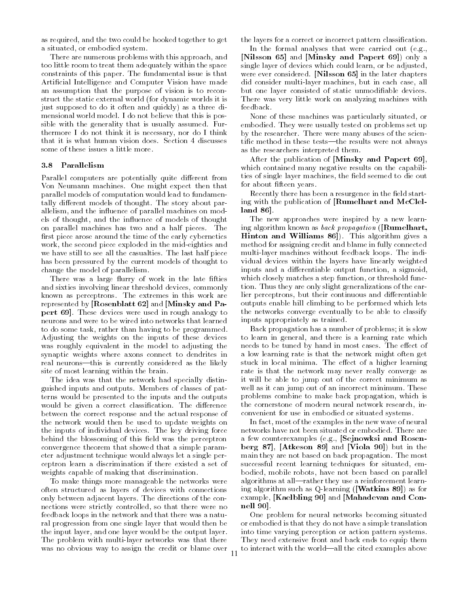as required, and the two could be hooked together to get a situated, or embodied system.

There are numerous problems with this approach, and too little room to treat them adequately within the space constraints of this paper. The fundamental issue is that Articial Intelligence and Computer Vision have made an assumption that the purpose of vision is to reconstruct the static external world (for dynamic worlds it is just supposed to do it often and quickly) as a three dimensional world model. I do not believe that this is possible with the generality that is usually assumed. Furthermore I do not think it is necessary, nor do I think that it is what human vision does. Section 4 discusses some of these issues a little more.

#### 3.8 Parallelism

Parallel computers are potentially quite different from Von Neumann machines. One might expect then that parallel models of computation would lead to fundamentally different models of thought. The story about parallelism, and the influence of parallel machines on models of thought, and the influence of models of thought on parallel machines has two and a half pieces. The first piece arose around the time of the early cybernetics work, the second piece exploded in the mid-eighties and we have still to see all the casualties. The last half piece has been pressured by the current models of thought to change the model of parallelism.

There was a large flurry of work in the late fifties and sixties involving linear threshold devices, commonly known as perceptrons. The extremes in this work are represented by [Rosenblatt 62] and [Minsky and Pa pert 69]. These devices were used in rough analogy to neurons and were to be wired into networks that learned to do some task, rather than having to be programmed. Adjusting the weights on the inputs of these devices was roughly equivalent in the model to adjusting the synaptic weights where axons connect to dendrites in real neurons—this is currently considered as the likely site of most learning within the brain.

The idea was that the network had specially distinguished inputs and outputs. Members of classes of patterns would be presented to the inputs and the outputs would be given a correct classification. The difference between the correct response and the actual response of the network would then be used to update weights on the inputs of individual devices. The key driving force behind the blossoming of this field was the perceptron convergence theorem that showed that a simple parameter adjustment technique would always let a single perceptron learn a discrimination if there existed a set of weights capable of making that discrimination.

To make things more manageable the networks were often structured as layers of devices with connections only between adjacent layers. The directions of the connections were strictly controlled, so that there were no feedback loops in the network and that there was a natural progression from one single layer that would then be the input layer, and one layer would be the output layer. The problem with multi-layer networks was that there was no obvious way to assign the credit or blame over the layers for a correct or incorrect pattern classication.

In the formal analyses that were carried out (e.g., [Nilsson 65] and [Minsky and Papert 69]) only a single layer of devices which could learn, or be adjusted, were ever considered. [Nilsson 65] in the later chapters did consider multi-layer machines, but in each case, all but one layer consisted of static unmodiable devices. There was very little work on analyzing machines with feedback.

None of these machines was particularly situated, or embodied. They were usually tested on problems set up by the researcher. There were many abuses of the scientific method in these tests—the results were not always as the researchers interpreted them.

After the publication of [Minsky and Papert 69], which contained many negative results on the capabilities of single layer machines, the field seemed to die out for about fifteen years.

Recently there has been a resurgence in the field starting with the publication of [Rumelhart and McClelland 86].

The new approaches were inspired by a new learning algorithm known as *back propagation* ([**Rumelhart**, Hinton and Williams 86]). This algorithm gives a method for assigning credit and blame in fully connected multi-layer machines without feedback loops. The individual devices within the layers have linearly weighted inputs and a differentiable output function, a sigmoid, which closely matches a step function, or threshold function. Thus they are only slight generalizations of the earlier perceptrons, but their continuous and differentiable outputs enable hill climbing to be performed which lets the networks converge eventually to be able to classify inputs appropriately as trained.

Back propagation has a number of problems; it is slow to learn in general, and there is a learning rate which needs to be tuned by hand in most cases. The effect of a low learning rate is that the network might often get stuck in local minima. The effect of a higher learning rate is that the network may never really converge as it will be able to jump out of the correct minimum as well as it can jump out of an incorrect minimum. These problems combine to make back propagation, which is the cornerstone of modern neural network research, inconvenient for use in embodied or situated systems.

In fact, most of the examples in the new wave of neural networks have not been situated or embodied. There are a few counterexamples (e.g., [Sejnowksi and Rosenberg 87], [Atkeson 89] and [Viola 90]) but in the main they are not based on back propagation. The most successful recent learning techniques for situated, embodied, mobile robots, have not been based on parallel algorithms at all—rather they use a reinforcement learning algorithm such as Q-learning ([Watkins 89]) as for example, [Kaelbling 90] and [Mahadevan and Connell 90].

One problem for neural networks becoming situated or embodied is that they do not have a simple translation into time varying perception or action pattern systems. They need extensive front and back ends to equip them to interact with the world—all the cited examples above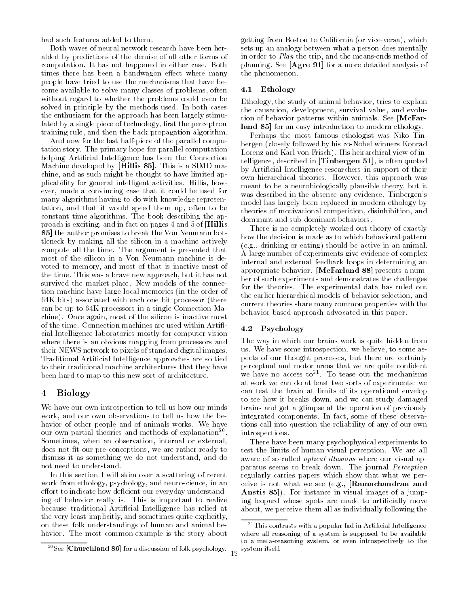had such features added to them.

Both waves of neural network research have been heralded by predictions of the demise of all other forms of computation. It has not happened in either case. Both times there has been a bandwagon effect where many people have tried to use the mechanisms that have become available to solve many classes of problems, often without regard to whether the problems could even be solved in principle by the methods used. In both cases the enthusiasm for the approach has been largely stimulated by a single piece of technology, first the perceptron training rule, and then the back propagation algorithm.

And now for the last half-piece of the parallel computation story. The primary hope for parallel computation helping Articial Intelligence has been the Connection Machine developed by [Hillis 85]. This is a SIMD machine, and as such might be thought to have limited applicability for general intelligent activities. Hillis, however, made a convincing case that it could be used for many algorithms having to do with knowledge representation, and that it would speed them up, often to be constant time algorithms. The book describing the approach is exciting, and in fact on pages 4 and 5 of [Hillis 85] the author promises to break the Von Neumann bottleneck by making all the silicon in a machine actively compute all the time. The argument is presented that most of the silicon in a Von Neumann machine is de voted to memory, and most of that is inactive most of the time. This was a brave new approach, but it has not survived the market place. New models of the connection machine have large local memories (in the order of 64K bits) associated with each one bit processor (there can be up to 64K processors in a single Connection Machine). Once again, most of the silicon is inactive most of the time. Connection machines are used within Artificial Intelligence laboratories mostly for computer vision where there is an obvious mapping from processors and their NEWS network to pixels of standard digital images. Traditional Articial Intelligence approaches are so tied to their traditional machine architectures that they have been hard to map to this new sort of architecture.

### 4 Biology

We have our own introspection to tell us how our minds work, and our own observations to tell us how the behavior of other people and of animals works. We have our own partial theories and methods of explanation  $\overline{\phantom{a}}$  . Sometimes, when an observation, internal or external, does not fit our pre-conceptions, we are rather ready to dismiss it as something we do not understand, and do not need to understand.

In this section I will skim over a scattering of recent work from ethology, psychology, and neuroscience, in an effort to indicate how deficient our everyday understanding of behavior really is. This is important to realize because traditional Articial Intelligence has relied at the very least implicitly, and sometimes quite explicitly, on these folk understandings of human and animal behavior. The most common example is the story about

getting from Boston to California (or vice-versa), which sets up an analogy between what a person does mentally in order to Plan the trip, and the means-ends method of planning. See [Agre 91] for a more detailed analysis of the phenomenon.

### 4.1 Ethology

Ethology, the study of animal behavior, tries to explain the causation, development, survival value, and evolution of behavior patterns within animals. See [McFarland 85] for an easy introduction to modern ethology.

Perhaps the most famous ethologist was Niko Tinbergen (closely followed by his co-Nobel winners Konrad Lorenz and Karl von Frisch). His heirarchical view of intelligence, described in [Tinbergen 51], is often quoted by Articial Intelligence researchers in support of their own hierarchical theories. However, this approach was meant to be a neurobiologically plausible theory, but it was described in the absence any evidence. Tinbergen's model has largely been replaced in modern ethology by theories of motivational competition, disinhibition, and dominant and sub-dominant behaviors.

There is no completely worked out theory of exactly how the decision is made as to which behavioral pattern (e.g., drinking or eating) should be active in an animal. A large number of experiments give evidence of complex internal and external feedback loops in determining an appropriate behavior. [McFarland 88] presents a num ber of such experiments and demonstrates the challenges for the theories. The experimental data has ruled out the earlier hierarchical models of behavior selection, and current theories share many common properties with the behavior-based approach advocated in this paper.

#### 4.2 Psychology

The way in which our brains work is quite hidden from us. We have some introspection, we believe, to some aspects of our thought processes, but there are certainly perceptual and motor areas that we are quite condent we have no access to<sup>21</sup>. To tease out the mechanisms at work we can do at least two sorts of experiments: we can test the brain at limits of its operational envelop to see how it breaks down, and we can study damaged brains and get a glimpse at the operation of previously integrated components. In fact, some of these observations call into question the reliability of any of our own introspections.

There have been many psychophysical experiments to test the limits of human visual perception. We are all aware of so-called *optical illusions* where our visual apparatus seems to break down. The journal Perception regularly carries papers which show that what we perceive is not what we see (e.g., [Ramachandran and Anstis 85]). For instance in visual images of a jumping leopard whose spots are made to articially move about, we perceive them all as individually following the

 $^{21}\mathrm{This}$  contrasts with a popular fad in Artificial Intelligence where all reasoning of a system is supposed to be available to a meta-reasoning system, or even introspectively to the system itself.

 $\sim$ See [Churchland 86] for a discussion of folk psychology.  $_{12}$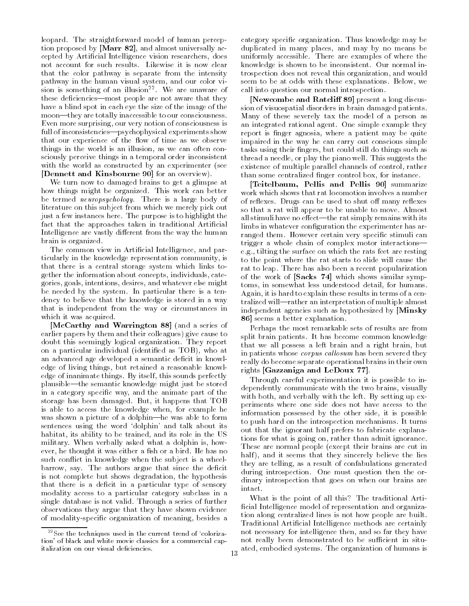leopard. The straightforward model of human perception proposed by [Marr 82], and almost universally accepted by Articial Intelligence vision researchers, does not account for such results. Likewise it is now clear that the color pathway is separate from the intensity trospection does not reveal this organization, and would pathway in the human visual system, and our color vision is something of an illusion<sup>22</sup>. We are unaware of these deficiencies—most people are not aware that they have a blind spot in each eye the size of the image of the moon|they are totally inaccessible to our consciousness. Even more surprising, our very notion of consciousness is full of inconsistencies—psychophysical experiments show that our experience of the flow of time as we observe things in the world is an illusion, as we can often consciously perceive things in a temporal order inconsistent with the world as constructed by an experimenter (see [Dennett and Kinsbourne 90] for an overview).

We turn now to damaged brains to get a glimpse at how things might be organized. This work can better be termed neuropsychology. There is a large body of literature on this subject from which we merely pick out just a few instances here. The purpose is to highlight the fact that the approaches taken in traditional Artificial Intelligence are vastly different from the way the human brain is organized.

The common view in Articial Intelligence, and particularly in the knowledge representation community, is that there is a central storage system which links together the information about concepts, individuals, categories, goals, intentions, desires, and whatever else might be needed by the system. In particular there is a tendency to believe that the knowledge is stored in a way that is independent from the way or circumstances in which it was acquired.

[McCarthy and Warrington 88] (and a series of earlier papers by them and their colleagues) give cause to doubt this seemingly logical organization. They report on a particular individual (identied as TOB), who at an advanced age developed a semantic deficit in knowledge of living things, but retained a reasonable knowledge of inanimate things. By itself, this sounds perfectly plausible—the semantic knowledge might just be stored in a category specic way, and the animate part of the storage has been damaged. But, it happens that TOB is able to access the knowledge when, for example he was shown a picture of a dolphin—he was able to form sentences using the word `dolphin' and talk about its habitat, its ability to be trained, and its role in the US military. When verbally asked what a dolphin is, however, he thought it was either a fish or a bird. He has no such conflict in knowledge when the subject is a wheelbarrow, say. The authors argue that since the deficit is not complete but shows degradation, the hypothesis that there is a deficit in a particular type of sensory modality access to a particular category subclass in a single database is not valid. Through a series of further observations they argue that they have shown evidence of modality-specic organization of meaning, besides a category specic organization. Thus knowledge may be duplicated in many places, and may by no means be uniformly accessible. There are examples of where the knowledge is shown to be inconsistent. Our normal introspection does not reveal this organization, and would seem to be at odds with these explanations. Below, we call into question our normal introspection.

[Newcombe and Ratcliff 89] present a long discussion of visuospatial disorders in brain damaged patients. Many of these severely tax the model of a person as an integrated rational agent. One simple example they report is finger agnosia, where a patient may be quite impaired in the way he can carry out conscious simple tasks using their fingers, but could still do things such as thread a needle, or play the piano well. This suggests the existence of multiple parallel channels of control, rather than some centralized finger control box, for instance.

[Teitelbaum, Pellis and Pellis 90] summarize work which shows that rat locomotion involves a number of reflexes. Drugs can be used to shut off many reflexes so that a rat will appear to be unable to move. Almost all stimuli have no effect—the rat simply remains with its limbs in whatever configuration the experimenter has arranged them. However certain very specific stimuli can trigger a whole chain of complex motor interactions| e.g., tilting the surface on which the rats feet are resting to the point where the rat starts to slide will cause the rat to leap. There has also been a recent popularization of the work of [Sacks 74] which shows similar symptoms, in somewhat less understood detail, for humans. Again, it is hard to explain these results in terms of a centralized will-rather an interpretation of multiple almost independent agencies such as hypothesized by [Minsky 86] seems a better explanation.

Perhaps the most remarkable sets of results are from split brain patients. It has become common knowledge that we all possess a left brain and a right brain, but in patients whose *corpus callosum* has been severed they really do become separate operational brains in their own rights [Gazzaniga and LeDoux 77].

Through careful experimentation it is possible to independently communicate with the two brains, visually with both, and verbally with the left. By setting up experiments where one side does not have access to the information possessed by the other side, it is possible to push hard on the introspection mechanisms. It turns out that the ignorant half prefers to fabricate explanations for what is going on, rather than admit ignorance. These are normal people (except their brains are cut in half), and it seems that they sincerely believe the lies they are telling, as a result of confabulations generated during introspection. One must question then the ordinary introspection that goes on when our brains are intact.

What is the point of all this? The traditional Arti ficial Intelligence model of representation and organization along centralized lines is not how people are built. Traditional Articial Intelligence methods are certainly not necessary for intelligence then, and so far they have not really been demonstrated to be sufficient in situated, embodied systems. The organization of humans is

<sup>&</sup>lt;sup>22</sup>See the techniques used in the current trend of 'colorization' of black and white movie classics for a commercial capitalization on our visual deficiencies.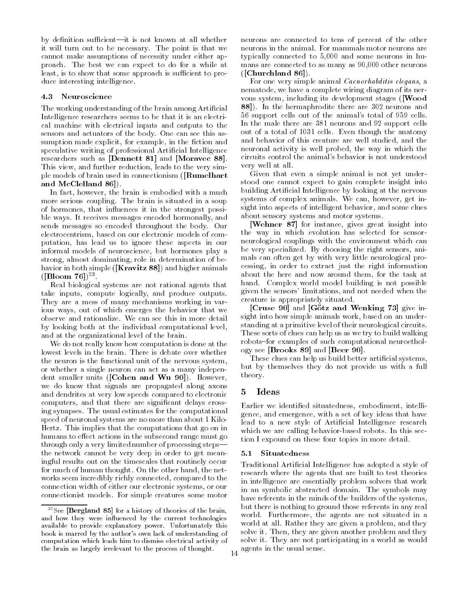by definition sufficient—it is not known at all whether it will turn out to be necessary. The point is that we cannot make assumptions of necessity under either approach. The best we can expect to do for a while at least, is to show that some approach is sufficient to produce interesting intelligence.

#### 4.3 Neuroscience

The working understanding of the brain among Artificial Intelligence researchers seems to be that it is an electrical machine with electrical inputs and outputs to the sensors and actuators of the body. One can see this assumption made explicit, for example, in the fiction and speculative writing of professional Articial Intelligence researchers such as [Dennett 81] and [Moravec 88]. This view, and further reduction, leads to the very simple models of brain used in connectionism ([Rumelhart and McClelland 86]).

In fact, however, the brain is embodied with a much more serious coupling. The brain is situated in a soup of hormones, that influences it in the strongest possible ways. It receives messages encoded hormonally, and sends messages so encoded throughout the body. Our electrocentrism, based on our electronic models of computation, has lead us to ignore these aspects in our informal models of neuroscience, but hormones play a strong, almost dominating, role in determination of behavior in both simple ( $[Kravitz 88]$ ) and higher animals ([Bloom 76])23 .

Real biological systems are not rational agents that take inputs, compute logically, and produce outputs. They are a mess of many mechanisms working in various ways, out of which emerges the behavior that we observe and rationalize. We can see this in more detail by looking both at the individual computational level, and at the organizational level of the brain.

We do not really know how computation is done at the lowest levels in the brain. There is debate over whether the neuron is the functional unit of the nervous system, or whether a single neuron can act as a many independent smaller units ([Cohen and Wu 90]). However, we do know that signals are propagated along axons and dendrites at very low speeds compared to electronic computers, and that there are signicant delays crossing synapses. The usual estimates for the computational speed of neuronal systems are no more than about 1 Kilo-Hertz. This implies that the computations that go on in humans to effect actions in the subsecond range must go through only a very limited number of processing steps the network cannot be very deep in order to get meaningful results out on the timescales that routinely occur for much of human thought. On the other hand, the net works seem incredibly richly connected, compared to the connection width of either our electronic systems, or our connectionist models. For simple creatures some motor neurons are connected to tens of percent of the other neurons in the animal. For mammals motor neurons are typically connected to 5,000 and some neurons in hu mans are connected to as many as 90,000 other neurons ([Churchland 86]).

For one very simple animal *Caenorhabditis elegans*, a nematode, we have a complete wiring diagram of its nervous system, including its development stages ([Wood 88]). In the hermaphrodite there are 302 neurons and 56 support cells out of the animal's total of 959 cells. In the male there are 381 neurons and 92 support cells out of a total of 1031 cells. Even though the anatomy and behavior of this creature are well studied, and the neuronal activity is well probed, the way in which the circuits control the animal's behavior is not understood very well at all.

Given that even a simple animal is not yet understood one cannot expect to gain complete insight into building Articial Intelligence by looking at the nervous systems of complex animals. We can, however, get insight into aspects of intelligent behavior, and some clues about sensory systems and motor systems.

[Wehner 87] for instance, gives great insight into the way in which evolution has selected for sensorneurological couplings with the environment which can be very specialized. By choosing the right sensors, animals can often get by with very little neurological processing, in order to extract just the right information about the here and now around them, for the task at hand. Complex world model building is not possible given the sensors' limitations, and not needed when the creature is appropriately situated.

[Cruse 90] and [Götz and Wenking 73] give insight into how simple animals work, based on an understanding at a primitive level of their neurological circuits. These sorts of clues can help us as we try to build walking robots{for examples of such computational neuroethology see [Brooks 89] and [Beer 90].

These clues can help us build better articial systems, but by themselves they do not provide us with a full theory.

### 5 Ideas

Earlier we identied situatedness, embodiment, intelligence, and emergence, with a set of key ideas that have lead to a new style of Artificial Intelligence research which we are calling behavior-based robots. In this section I expound on these four topics in more detail.

### 5.1 Situatedness

Traditional Articial Intelligence has adopted a style of research where the agents that are built to test theories in intelligence are essentially problem solvers that work in an symbolic abstracted domain. The symbols may have referents in the minds of the builders of the systems, but there is nothing to ground those referents in any real world. Furthermore, the agents are not situated in a world at all. Rather they are given a problem, and they solve it. Then, they are given another problem and they solve it. They are not participating in a world as would agents in the usual sense.

<sup>23</sup>See [Bergland 85] for a history of theories of the brain, and how they were influenced by the current technologies available to provide explanatory power. Unfortunately this book is marred by the author's own lack of understanding of computation which leads him to dismiss electrical activity of the brain as largely irrelevant to the process of thought.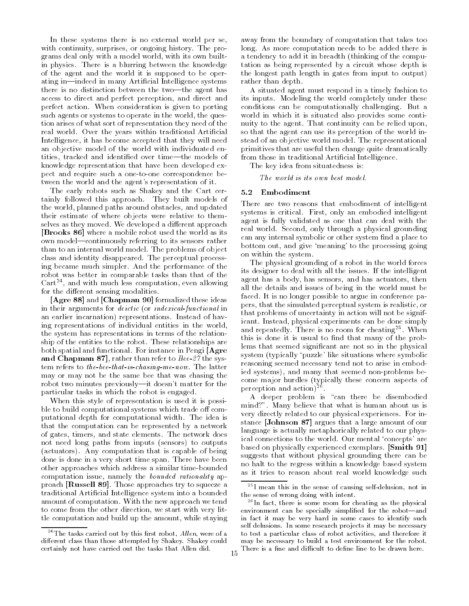In these systems there is no external world per se, with continuity, surprises, or ongoing history. The programs deal only with a model world, with its own builtin physics. There is a blurring between the knowledge of the agent and the world it is supposed to be operating in—indeed in many Artificial Intelligence systems there is no distinction between the two—the agent has access to direct and perfect perception, and direct and perfect action. When consideration is given to porting such agents or systems to operate in the world, the question arises of what sort of representation they need of the real world. Over the years within traditional Artificial Intelligence, it has become accepted that they will need an objective model of the world with individuated entities, tracked and identified over time—the models of knowledge representation that have been developed expect and require such a one-to-one correspondence between the world and the agent's representation of it.

The early robots such as Shakey and the Cart certainly followed this approach. They built models of the world, planned paths around obstacles, and updated their estimate of where objects were relative to themselves as they moved. We developed a different approach [Brooks 86] where a mobile robot used the world as its own model-continuously referring to its sensors rather than to an internal world model. The problems of object class and identity disappeared. The perceptual processing became much simpler. And the performance of the robot was better in comparable tasks than that of the  $Cart<sup>24</sup>$ , and with much less computation, even allowing for the different sensing modalities.

[Agre 88] and [Chapman 90] formalized these ideas in their arguments for deictic (or indexical-functional in an earlier incarnation) representations. Instead of having representations of individual entities in the world, the system has representations in terms of the relationship of the entities to the robot. These relationships are both spatial and functional. For instance in Pengi [Agre and Chapman 87], rather than refer to Bee-27 the system refers to the-bee-that-is-chasing-me-now. The latter may or may not be the same bee that was chasing the robot two minutes previously—it doesn't matter for the particular tasks in which the robot is engaged.

When this style of representation is used it is possible to build computational systems which trade off computational depth for computational width. The idea is that the computation can be represented by a network of gates, timers, and state elements. The network does not need long paths from inputs (sensors) to outputs (actuators). Any computation that is capable of being done is done in a very short time span. There have been other approaches which address a similar time-bounded computation issue, namely the bounded rationality approach [Russell 89]. Those approaches try to squeeze a traditional Articial Intelligence system into a bounded amount of computation. With the new approach we tend to come from the other direction, we start with very little computation and build up the amount, while staying

 $24$ The tasks carried out by this first robot, Allen, were of a different class than those attempted by Shakey. Shakey could certainly not have carried out the tasks that Allen did.

away from the boundary of computation that takes too long. As more computation needs to be added there is a tendency to add it in breadth (thinking of the computation as being represented by a circuit whose depth is the longest path length in gates from input to output) rather than depth.

A situated agent must respond in a timely fashion to its inputs. Modeling the world completely under these conditions can be computationally challenging. But a world in which it is situated also provides some conti nuity to the agent. That continuity can be relied upon, so that the agent can use its perception of the world instead of an objective world model. The representational primitives that are useful then change quite dramatically from those in traditional Articial Intelligence.

The key idea from situatedness is:

The world is its own best model.

#### $5.2$ **Embodiment**

There are two reasons that embodiment of intelligent systems is critical. First, only an embodied intelligent agent is fully validated as one that can deal with the real world. Second, only through a physical grounding can any internal symbolic or other system find a place to bottom out, and give `meaning' to the processing going on within the system.

The physical grounding of a robot in the world forces its designer to deal with all the issues. If the intelligent agent has a body, has sensors, and has actuators, then all the details and issues of being in the world must be faced. It is no longer possible to argue in conference papers, that the simulated perceptual system is realistic, or that problems of uncertainty in action will not be significant. Instead, physical experiments can be done simply and repeatedly. There is no room for cheating<sup>25</sup>. When this is done it is usual to find that many of the problems that seemed signicant are not so in the physical system (typically `puzzle' like situations where symbolic reasoning seemed necessary tend not to arise in embodied systems), and many that seemed non-problems become major hurdles (typically these concern aspects of perception and action)<sup>26</sup>

A deeper problem is "can there be disembodied mind?". Many believe that what is human about us is very directly related to our physical experiences. For instance [Johnson 87] argues that a large amount of our language is actually metaphorically related to our physical connections to the world. Our mental `concepts' are based on physically experienced exemplars. [Smith 91] suggests that without physical grounding there can be no halt to the regress within a knowledge based system as it tries to reason about real world knowledge such

 $\tilde{\phantom{a}}$  I mean this in the sense of causing self-delusion, not in the sense of wrong doing with intent.

 $\tilde{\phantom{a}}$  In fact, there is some room for cheating as the physical environment can be specially simplified for the robot-and in fact it may be very hard in some cases to identify such self delusions. In some research projects it may be necessary to test a particular class of robot activities, and therefore it may be necessary to build a test environment for the robot. There is a fine and difficult to define line to be drawn here.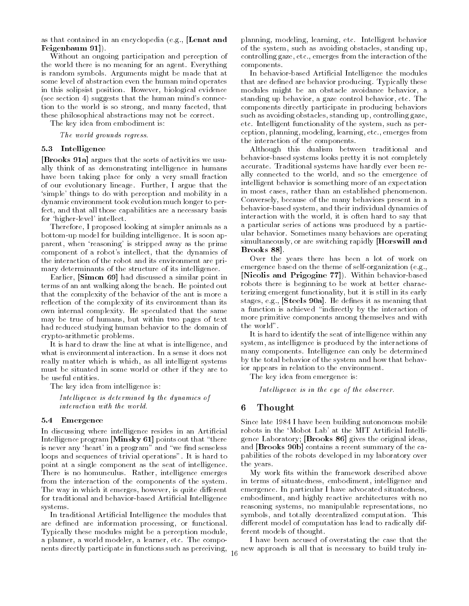as that contained in an encyclopedia (e.g., [Lenat and Feigenbaum 91]).

Without an ongoing participation and perception of the world there is no meaning for an agent. Everything is random symbols. Arguments might be made that at some level of abstraction even the human mind operates in this solipsist position. However, biological evidence (see section 4) suggests that the human mind's connection to the world is so strong, and many faceted, that these philosophical abstractions may not be correct.

The key idea from embodiment is:

The world grounds regress.

#### 5.3 Intelligence

[Brooks 91a] argues that the sorts of activities we usually think of as demonstrating intelligence in humans have been taking place for only a very small fraction of our evolutionary lineage. Further, I argue that the `simple' things to do with perception and mobility in a dynamic environment took evolution much longer to perfect, and that all those capabilities are a necessary basis for 'higher-level' intellect.

Therefore, I proposed looking at simpler animals as a bottom-up model for building intelligence. It is soon apparent, when `reasoning' is stripped away as the prime component of a robot's intellect, that the dynamics of the interaction of the robot and its environment are primary determinants of the structure of its intelligence.

Earlier, [Simon 69] had discussed a similar point in terms of an ant walking along the beach. He pointed out that the complexity of the behavior of the ant is more a reflection of the complexity of its environment than its own internal complexity. He speculated that the same may be true of humans, but within two pages of text had reduced studying human behavior to the domain of crypto-arithmetic problems.

It is hard to draw the line at what is intelligence, and what is environmental interaction. In a sense it does not really matter which is which, as all intelligent systems must be situated in some world or other if they are to be useful entities.

The key idea from intelligence is:

Intelligence is determined by the dynamics of interaction with the world.

### 5.4 Emergence

In discussing where intelligence resides in an Artificial Intelligence program  $[Minsky 61]$  points out that "there is never any 'heart' in a program" and "we find senseless loops and sequences of trivial operations". It is hard to point at a single component as the seat of intelligence. There is no homunculus. Rather, intelligence emerges from the interaction of the components of the system. The way in which it emerges, however, is quite different for traditional and behavior-based Articial Intelligence systems.

In traditional Articial Intelligence the modules that are defined are information processing, or functional. Typically these modules might be a perception module, a planner, a world modeler, a learner, etc. The compo nents directly participate in functions such as perceiving,

planning, modeling, learning, etc. Intelligent behavior of the system, such as avoiding obstacles, standing up, controlling gaze, etc., emerges from the interaction of the components.

In behavior-based Artificial Intelligence the modules that are defined are behavior producing. Typically these modules might be an obstacle avoidance behavior, a standing up behavior, a gaze control behavior, etc. The components directly participate in producing behaviors such as avoiding obstacles, standing up, controlling gaze, etc. Intelligent functionality of the system, such as perception, planning, modeling, learning, etc., emerges from the interaction of the components.

Although this dualism between traditional and behavior-based systems looks pretty it is not completely accurate. Traditional systems have hardly ever been really connected to the world, and so the emergence of intelligent behavior is something more of an expectation in most cases, rather than an established phenomenon. Conversely, because of the many behaviors present in a behavior-based system, and their individual dynamics of interaction with the world, it is often hard to say that a particular series of actions was produced by a particular behavior. Sometimes many behaviors are operating simultaneously, or are switching rapidly **Horswill and** Brooks 88].

Over the years there has been a lot of work on emergence based on the theme of self-organization (e.g., [Nicolis and Prigogine 77]). Within behavior-based robots there is beginning to be work at better characterizing emergent functionality, but it is still in its early stages, e.g., [Steels 90a]. He denes it as meaning that a function is achieved "indirectly by the interaction of more primitive components among themselves and with the world".

It is hard to identify the seat of intelligence within any system, as intelligence is produced by the interactions of many components. Intelligence can only be determined by the total behavior of the system and how that behavior appears in relation to the environment.

The key idea from emergence is:

Intelligence is in the eye of the observer.

### 6 Thought

Since late 1984 I have been building autonomous mobile robots in the 'Mobot Lab' at the MIT Artificial Intelligence Laboratory; [Brooks 86] gives the original ideas, and [Brooks 90b] contains a recent summary of the capabilities of the robots developed in my laboratory over the years.

My work fits within the framework described above in terms of situatedness, embodiment, intelligence and emergence. In particular I have advocated situatedness, embodiment, and highly reactive architectures with no reasoning systems, no manipulable representations, no symbols, and totally decentralized computation. This different model of computation has lead to radically different models of thought.

I have been accused of overstating the case that the new approach is all that is necessary to build truly in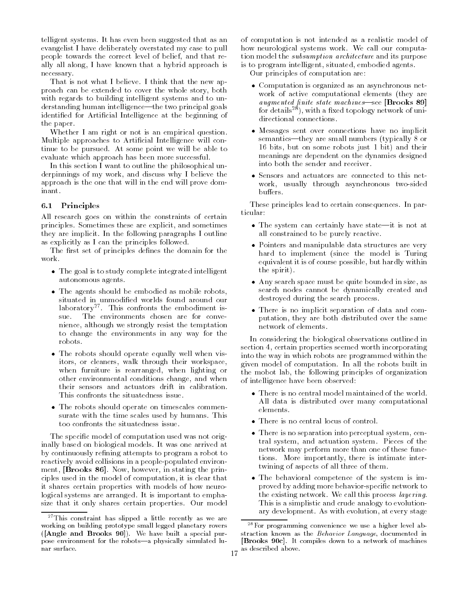telligent systems. It has even been suggested that as an evangelist I have deliberately overstated my case to pull people towards the correct level of belief, and that really all along, I have known that a hybrid approach is necessary.

That is not what I believe. I think that the new approach can be extended to cover the whole story, both with regards to building intelligent systems and to understanding human intelligence—the two principal goals identied for Articial Intelligence at the beginning of the paper.

Whether I am right or not is an empirical question. Multiple approaches to Articial Intelligence will continue to be pursued. At some point we will be able to evaluate which approach has been more successful.

In this section I want to outline the philosophical underpinnings of my work, and discuss why I believe the approach is the one that will in the end will prove dominant.

### 6.1 Principles

All research goes on within the constraints of certain principles. Sometimes these are explicit, and sometimes they are implicit. In the following paragraphs I outline as explicitly as I can the principles followed.

The first set of principles defines the domain for the work

- The goal is to study complete integrated intelligent autonomous agents.
- The agents should be embodied as mobile robots, situated in unmodied worlds found around our laboratory<sup>-</sup> This confronts the embodiment issue. The environments chosen are for conve nience, although we strongly resist the temptation to change the environments in any way for the robots.
- The robots showledge exists the robots well when visit well when  $\mathcal{L}_{\mathcal{A}}$ itors, or cleaners, walk through their workspace, when furniture is rearranged, when lighting or other environmental conditions change, and when their sensors and actuators drift in calibration. This confronts the situatedness issue.
- The robots should operate on timescales commensurate with the time scales used by humans. This too confronts the situatedness issue.

The specific model of computation used was not originally based on biological models. It was one arrived at by continuously refining attempts to program a robot to reactively avoid collisions in a people-populated environ ment, [Brooks 86]. Now, however, in stating the principles used in the model of computation, it is clear that it shares certain properties with models of how neurological systems are arranged. It is important to emphasize that it only shares certain properties. Our model of computation is not intended as a realistic model of how neurological systems work. We call our computation model the subsumption architecture and its purpose is to program intelligent, situated, embodied agents.

Our principles of computation are:

- Computation is organized as an asynchronous net work of active computational elements (they are  $augmented\ finite\ state\ machines$  =see [Brooks 89] for details<sup>28</sup>), with a fixed topology network of unidirectional connections.
- Messages sent over connections have no implicit semantics—they are small numbers (typically 8 or 16 bits, but on some robots just 1 bit) and their meanings are dependent on the dynamics designed into both the sender and receiver.
- work, usually through asynchronous two-sided buffers.

These principles lead to certain consequences. In particular:

- The system can certainly have state|it is not at all constrained to be purely reactive.
- Pointers and manipulable data structures are very hard to implement (since the model is Turing equivalent it is of course possible, but hardly within the spirit).
- Any search space must be quite bounded in size, as search nodes cannot be dynamically created and destroyed during the search process.
- There is no implicit separation of data and computation, they are both distributed over the same network of elements.

In considering the biological observations outlined in section 4, certain properties seemed worth incorporating into the way in which robots are programmed within the given model of computation. In all the robots built in the mobot lab, the following principles of organization of intelligence have been observed:

- All data is distributed over many computational elements.
- 
- There is no separation into perceptual system, central system, and actuation system. Pieces of the network may perform more than one of these functions. More importantly, there is intimate intertwining of aspects of all three of them.
- The behavioral competence of the system is improved by adding more behavior-specic network to the existing network. We call this process layering. This is a simplistic and crude analogy to evolutionary development. As with evolution, at every stage

<sup>&</sup>lt;sup>27</sup>This constraint has slipped a little recently as we are working on building prototype small legged planetary rovers ([Angle and Brooks 90]). We have built a special purpose environment for the robots-a physically simulated lunar surface.

<sup>28</sup>For programming convenience we use a higher level abstraction known as the Behavior Language, documented in [Brooks 90c]. It compiles down to a network of machines as described above.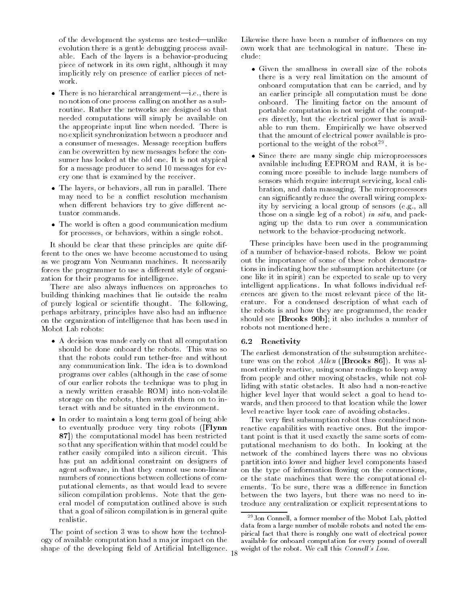of the development the systems are tested—unlike evolution there is a gentle debugging process available. Each of the layers is a behavior-producing piece of network in its own right, although it may implicitly rely on presence of earlier pieces of net work.

- There is no hierarchical arrangement|i.e., there is no notion of one process calling on another as a subroutine. Rather the networks are designed so that needed computations will simply be available on the appropriate input line when needed. There is no explicit synchronization between a producer and a consumer of messages. Message reception buffers can be overwritten by new messages before the consumer has looked at the old one. It is not atypical for a message producer to send 10 messages for every one that is examined by the receiver.
- The layers, or behaviors, all run in parallel. There may need to be a con
ict resolution mechanism when different behaviors try to give different actuator commands.
- The world is often a good communication medium for processes, or behaviors, within a single robot.

It should be clear that these principles are quite different to the ones we have become accustomed to using as we program Von Neumann machines. It necessarily forces the programmer to use a different style of organization for their programs for intelligence.

There are also always influences on approaches to building thinking machines that lie outside the realm of purely logical or scientic thought. The following, perhaps arbitrary, principles have also had an influence on the organization of intelligence that has been used in Mobot Lab robots:

- A decision was made early on that all computation should be done onboard the robots. This was so that the robots could run tether-free and without any communication link. The idea is to download programs over cables (although in the case of some of our earlier robots the technique was to plug in a newly written erasable ROM) into non-volatile storage on the robots, then switch them on to interact with and be situated in the environment.
- In order to maintain a long term goal of being able to eventually produce very tiny robots ([Flynn 87]) the computational model has been restricted so that any specication within that model could be rather easily compiled into a silicon circuit. This has put an additional constraint on designers of agent software, in that they cannot use non-linear numbers of connections between collections of computational elements, as that would lead to severe silicon compilation problems. Note that the general model of computation outlined above is such that a goal of silicon compilation is in general quite realistic.

The point of section 3 was to show how the technology of available computation had a major impact on the shape of the developing field of Artificial Intelligence.

Likewise there have been a number of influences on my own work that are technological in nature. These include:

- Given the smallness in overall size of the robots there is a very real limitation on the amount of onboard computation that can be carried, and by an earlier principle all computation must be done onboard. The limiting factor on the amount of portable computation is not weight of the computers directly, but the electrical power that is available to run them. Empirically we have observed that the amount of electrical power available is proportional to the weight of the robot<sup>-1</sup>.
- Since there are many single chip microprocessors available including EEPROM and RAM, it is becoming more possible to include large numbers of sensors which require interrupt servicing, local calibration, and data massaging. The microprocessors can signicantly reduce the overall wiring complexity by servicing a local group of sensors (e.g., all those on a single leg of a robot) in situ, and packaging up the data to run over a communication network to the behavior-producing network.

These principles have been used in the programming of a number of behavior-based robots. Below we point out the importance of some of these robot demonstrations in indicating how the subsumption architecture (or one like it in spirit) can be expected to scale up to very intelligent applications. In what follows individual references are given to the most relevant piece of the literature. For a condensed description of what each of the robots is and how they are programmed, the reader should see [Brooks 90b]; it also includes a number of robots not mentioned here.

#### 6.2 Reactivity

The earliest demonstration of the subsumption architecture was on the robot  $Allen$  ([Brooks 86]). It was almost entirely reactive, using sonar readings to keep away from people and other moving obstacles, while not colliding with static obstacles. It also had a non-reactive higher level layer that would select a goal to head to wards, and then proceed to that location while the lower level reactive layer took care of avoiding obstacles.

The very first subsumption robot thus combined nonreactive capabilities with reactive ones. But the important point is that it used exactly the same sorts of computational mechanism to do both. In looking at the network of the combined layers there was no obvious partition into lower and higher level components based on the type of information flowing on the connections, or the state machines that were the computational elements. To be sure, there was a dierence in function between the two layers, but there was no need to introduce any centralization or explicit representations to

<sup>29</sup>Jon Connell, a former member of the Mobot Lab, plotted data from a large number of mobile robots and noted the empirical fact that there is roughly one watt of electrical power available for onboard computation for every pound of overall weight of the robot. We call this  $Connell's Law$ .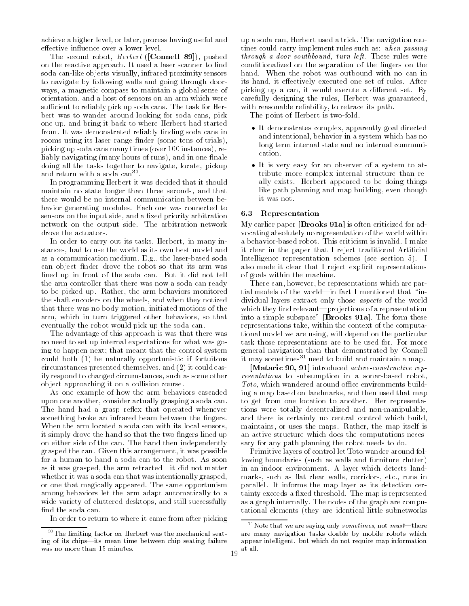achieve a higher level, or later, process having useful and effective influence over a lower level.

The second robot, *Herbert* ([Connell 89]), pushed on the reactive approach. It used a laser scanner to find soda can-like objects visually, infrared proximity sensors to navigate by following walls and going through door ways, a magnetic compass to maintain a global sense of orientation, and a host of sensors on an arm which were sufficient to reliably pick up soda cans. The task for Herbert was to wander around looking for soda cans, pick one up, and bring it back to where Herbert had started from. It was demonstrated reliably finding soda cans in rooms using its laser range finder (some tens of trials), picking up soda cans many times (over 100 instances), reliably navigating (many hours of runs), and in one finale doing all the tasks together to navigate, locate, pickup and return with a soda can==.

In programming Herbert it was decided that it should maintain no state longer than three seconds, and that there would be no internal communication between behavior generating modules. Each one was connected to sensors on the input side, and a fixed priority arbitration network on the output side. The arbitration network drove the actuators.

In order to carry out its tasks, Herbert, in many instances, had to use the world as its own best model and as a communication medium. E.g., the laser-based soda can object finder drove the robot so that its arm was lined up in front of the soda can. But it did not tell the arm controller that there was now a soda can ready to be picked up. Rather, the arm behaviors monitored the shaft encoders on the wheels, and when they noticed that there was no body motion, initiated motions of the arm, which in turn triggered other behaviors, so that eventually the robot would pick up the soda can.

The advantage of this approach is was that there was no need to set up internal expectations for what was going to happen next; that meant that the control system could both (1) be naturally opportunistic if fortuitous circumstances presented themselves, and (2) it could easily respond to changed circumstances, such as some other object approaching it on a collision course.

As one example of how the arm behaviors cascaded upon one another, consider actually grasping a soda can. The hand had a grasp reflex that operated whenever something broke an infrared beam between the fingers. When the arm located a soda can with its local sensors, it simply drove the hand so that the two fingers lined up on either side of the can. The hand then independently grasped the can. Given this arrangement, it was possible for a human to hand a soda can to the robot. As soon as it was grasped, the arm retracted—it did not matter whether it was a soda can that was intentionally grasped, or one that magically appeared. The same opportunism among behaviors let the arm adapt automatically to a wide variety of cluttered desktops, and still successfully find the soda can.

In order to return to where it came from after picking

up a soda can, Herbert used a trick. The navigation routines could carry implement rules such as: when passing through a door southbound, turn left. These rules were conditionalized on the separation of the fingers on the hand. When the robot was outbound with no can in its hand, it effectively executed one set of rules. After picking up a can, it would execute a different set. By carefully designing the rules, Herbert was guaranteed, with reasonable reliability, to retrace its path.

The point of Herbert is two-fold.

- It is demonstrated complex, appearing goal directed and intentional, behavior in a system which has no long term internal state and no internal communication.
- It is very easy for an observer of a system to attribute more complex internal structure than really exists. Herbert appeared to be doing things like path planning and map building, even though it was not.

#### 6.3 Representation

My earlier paper [Brooks 91a] is often criticized for advocating absolutely no representation of the world within a behavior-based robot. This criticism is invalid. I make it clear in the paper that I reject traditional Articial Intelligence representation schemes (see section 5). I also made it clear that I reject explicit representations of goals within the machine.

There can, however, be representations which are partial models of the world—in fact I mentioned that "individual layers extract only those aspects of the world which they find relevant—projections of a representation into a simple subspace" [Brooks 91a]. The form these representations take, within the context of the computational model we are using, will depend on the particular task those representations are to be used for. For more general navigation than that demonstrated by Connell it may sometimes<sup>31</sup> need to build and maintain a map.

[Mataric 90, 91] introduced active-constructive representations to subsumption in a sonar-based robot, Toto, which wandered around office environments building a map based on landmarks, and then used that map to get from one location to another. Her representations were totally decentralized and non-manipulable, and there is certainly no central control which build, maintains, or uses the maps. Rather, the map itself is an active structure which does the computations necessary for any path planning the robot needs to do.

Primitive layers of control let Toto wander around following boundaries (such as walls and furniture clutter) in an indoor environment. A layer which detects landmarks, such as flat clear walls, corridors, etc., runs in parallel. It informs the map layer as its detection certainty exceeds a fixed threshold. The map is represented as a graph internally. The nodes of the graph are computational elements (they are identical little subnetworks

<sup>30</sup>The limiting factor on Herbert was the mechanical seating of its chips-its mean time between chip seating failure was no more than 15 minutes.

 $^{31}\rm{Note}$  that we are saying only  $sometimes,$  not  $must{\rm—}$  there are many navigation tasks doable by mobile robots which appear intelligent, but which do not require map information at all.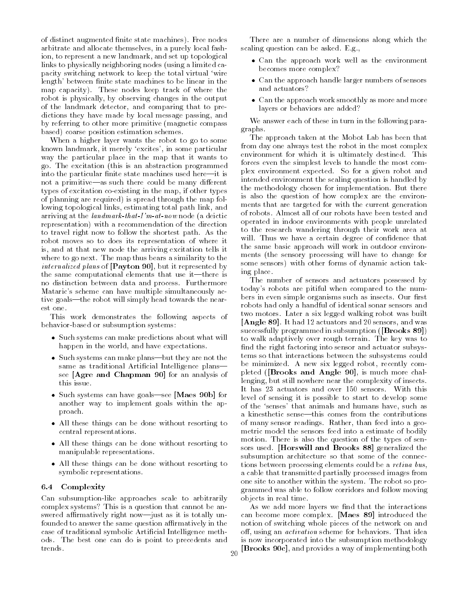of distinct augmented finite state machines). Free nodes arbitrate and allocate themselves, in a purely local fashion, to represent a new landmark, and set up topological links to physically neighboring nodes (using a limited capacity switching network to keep the total virtual `wire length' between finite state machines to be linear in the map capacity). These nodes keep track of where the robot is physically, by observing changes in the output of the landmark detector, and comparing that to predictions they have made by local message passing, and by referring to other more primitive (magnetic compass based) coarse position estimation schemes.

When a higher layer wants the robot to go to some known landmark, it merely `excites', in some particular way the particular place in the map that it wants to go. The excitation (this is an abstraction programmed into the particular finite state machines used here—it is not a primitive—as such there could be many different types of excitation co-existing in the map, if other types of planning are required) is spread through the map following topological links, estimating total path link, and arriving at the landmark-that-I'm-at-now node (a deictic representation) with a recommendation of the direction to travel right now to follow the shortest path. As the robot moves so to does its representation of where it is, and at that new node the arriving excitation tells it where to go next. The map thus bears a similarity to the internalized plans of [Payton 90], but it represented by the same computational elements that use it—there is no distinction between data and process. Furthermore Mataric's scheme can have multiple simultaneously active goals—the robot will simply head towards the nearest one.

This work demonstrates the following aspects of behavior-based or subsumption systems:

- systems will see the matrix predictions about will well with will will will be a set of the will will be a set happen in the world, and have expectations.
- Such systems can make plans|but they are not the same as traditional Artificial Intelligence planssee [Agre and Chapman 90] for an analysis of this issue.
- Such systems can have goals|see [Maes 90b] for another way to implement goals within the approach.
- All these things can be done without resorting to central representations.
- All these things can be done without resorting to manipulable representations.
- All these things can be done without resorting to symbolic representations.

### 6.4 Complexity

Can subsumption-like approaches scale to arbitrarily complex systems? This is a question that cannot be answered affirmatively right now-just as it is totally unfounded to answer the same question affirmatively in the case of traditional symbolic Articial Intelligence methods. The best one can do is point to precedents and trends.

There are a number of dimensions along which the scaling question can be asked. E.g.,

- Can the approache work was the environmental becomes more complex?
- Can the approach handle larger numbers of sensors and actuators?
- Can the approach work smoothly as more and more and layers or behaviors are added?

We answer each of these in turn in the following paragraphs.

The approach taken at the Mobot Lab has been that from day one always test the robot in the most complex environment for which it is ultimately destined. This forces even the simplest levels to handle the most complex environment expected. So for a given robot and intended environment the scaling question is handled by the methodology chosen for implementation. But there is also the question of how complex are the environ ments that are targeted for with the current generation of robots. Almost all of our robots have been tested and operated in indoor environments with people unrelated to the research wandering through their work area at will. Thus we have a certain degree of confidence that the same basic approach will work in outdoor environ ments (the sensory processing will have to change for some sensors) with other forms of dynamic action taking place.

The number of sensors and actuators possessed by today's robots are pitiful when compared to the num bers in even simple organisms such as insects. Our first robots had only a handful of identical sonar sensors and two motors. Later a six legged walking robot was built [Angle 89]. It had 12 actuators and 20 sensors, and was successfully programmed in subsumption ([Brooks 89]) to walk adaptively over rough terrain. The key was to find the right factoring into sensor and actuator subsystems so that interactions between the subsystems could be minimized. A new six legged robot, recently completed ([Brooks and Angle 90], is much more challenging, but still nowhere near the complexity of insects. It has 23 actuators and over 150 sensors. With this level of sensing it is possible to start to develop some of the `senses' that animals and humans have, such as a kinesthetic sense—this comes from the contributions of many sensor readings. Rather, than feed into a geometric model the sensors feed into a estimate of bodily motion. There is also the question of the types of sensors used. [Horswill and Brooks 88] generalized the subsumption architecture so that some of the connections between processing elements could be a retina bus, a cable that transmitted partially processed images from one site to another within the system. The robot so programmed was able to follow corridors and follow moving objects in real time.

As we add more layers we find that the interactions can become more complex. [Maes 89] introduced the notion of switching whole pieces of the network on and off, using an *activation* scheme for behaviors. That idea is now incorporated into the subsumption methodology [Brooks 90c], and provides a way of implementing both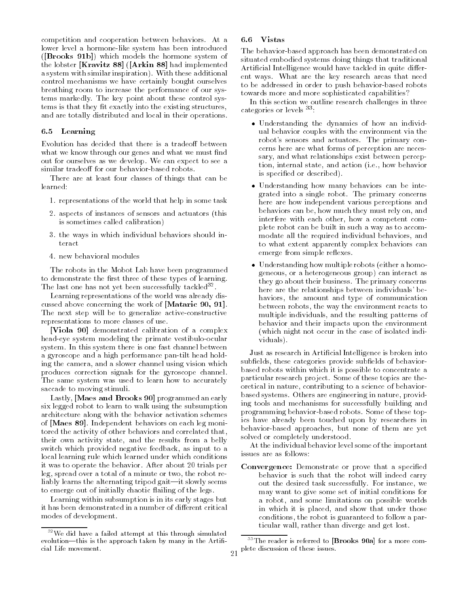competition and cooperation between behaviors. At a lower level a hormone-like system has been introduced ([Brooks 91b]) which models the hormone system of the lobster [Kravitz 88] ([Arkin 88] had implemented a system with similar inspiration). With these additional control mechanisms we have certainly bought ourselves breathing room to increase the performance of our systems markedly. The key point about these control systems is that they fit exactly into the existing structures, and are totally distributed and local in their operations.

#### 6.5 Learning

Evolution has decided that there is a tradeoff between what we know through our genes and what we must find out for ourselves as we develop. We can expect to see a similar tradeoff for our behavior-based robots.

There are at least four classes of things that can be learned:

- 1. representations of the world that help in some task
- 2. aspects of instances of sensors and actuators (this is sometimes called calibration)
- 3. the ways in which individual behaviors should interact
- 4. new behavioral modules

The robots in the Mobot Lab have been programmed to demonstrate the first three of these types of learning. The last one has not yet been successfully tackled32 .

Learning representations of the world was already discussed above concerning the work of [Mataric 90, 91]. The next step will be to generalize active-constructive representations to more classes of use.

[Viola 90] demonstrated calibration of a complex head-eye system modeling the primate vestibulo-ocular system. In this system there is one fast channel between a gyroscope and a high performance pan-tilt head holding the camera, and a slower channel using vision which produces correction signals for the gyroscope channel. The same system was used to learn how to accurately saccade to moving stimuli.

Lastly, [Maes and Brooks 90] programmed an early six legged robot to learn to walk using the subsumption architecture along with the behavior activation schemes of [Maes 89]. Independent behaviors on each leg monitored the activity of other behaviors and correlated that, their own activity state, and the results from a belly switch which provided negative feedback, as input to a local learning rule which learned under which conditions it was to operate the behavior. After about 20 trials per leg, spread over a total of a minute or two, the robot reliably learns the alternating tripod gait—it slowly seems to emerge out of initially chaotic flailing of the legs.

Learning within subsumption is in its early stages but it has been demonstrated in a number of different critical modes of development.

#### $6.6$ 6.6 Vistas

The behavior-based approach has been demonstrated on situated embodied systems doing things that traditional Artificial Intelligence would have tackled in quite different ways. What are the key research areas that need to be addressed in order to push behavior-based robots towards more and more sophisticated capabilities?

In this section we outline research challenges in three categories or levels 33:

- Understanding the dynamics of how an individual behavior couples with the environment via the robot's sensors and actuators. The primary concerns here are what forms of perception are necessary, and what relationships exist between perception, internal state, and action (i.e., how behavior is specied or described).
- Understanding how many behaviors can be integrated into a single robot. The primary concerns here are how independent various perceptions and behaviors can be, how much they must rely on, and interfere with each other, how a competent complete robot can be built in suchaway as to accommodate all the required individual behaviors, and to what extent apparently complex behaviors can emerge from simple reflexes.
- Understanding how multiple robots (either a homogeneous, or a heterogeneous group) can interact as they go about their business. The primary concerns here are the relationships between individuals' behaviors, the amount and type of communication between robots, the way the environment reacts to multiple individuals, and the resulting patterns of behavior and their impacts upon the environment (which night not occur in the case of isolated individuals).

Just as research in Articial Intelligence is broken into subfields, these categories provide subfields of behaviorbased robots within which it is possible to concentrate a particular research project. Some of these topics are theoretical in nature, contributing to a science of behaviorbased systems. Others are engineering in nature, providing tools and mechanisms for successfully building and programming behavior-based robots. Some of these topics have already been touched upon by researchers in behavior-based approaches, but none of them are yet solved or completely understood.

At the individual behavior level some of the important issues are as follows:

Convergence: Demonstrate or prove that a specified behavior is such that the robot will indeed carry out the desired task successfully. For instance, we may want to give some set of initial conditions for a robot, and some limitations on possible worlds in which it is placed, and show that under those conditions, the robot is guaranteed to follow a particular wall, rather than diverge and get lost.

<sup>32</sup>We did have a failed attempt at this through simulated evolution-this is the approach taken by many in the Artificial Life movement.

<sup>&</sup>lt;sup>33</sup>The reader is referred to [Brooks 90a] for a more complete discussion of these issues.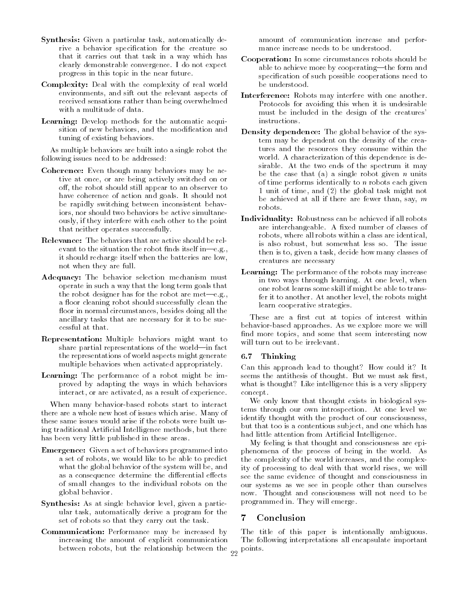- Synthesis: Given a particular task, automatically derive a behavior specication for the creature so that it carries out that task in a way which has clearly demonstrable convergence. I do not expect progress in this topic in the near future.
- Complexity: Deal with the complexity of real world environments, and sift out the relevant aspects of received sensations rather than being overwhelmed with a multitude of data.
- Learning: Develop methods for the automatic acquisition of new behaviors, and the modification and tuning of existing behaviors.

As multiple behaviors are built into a single robot the following issues need to be addressed:

- Coherence: Even though many behaviors may be active at once, or are being actively switched on or off, the robot should still appear to an observer to have coherence of action and goals. It should not be rapidly switching between inconsistent behaviors, nor should two behaviors be active simultaneously, if they interfere with each other to the point that neither operates successfully.
- Relevance: The behaviors that are active should be relevant to the situation the robot finds itself in—e.g., it should recharge itself when the batteries are low, not when they are full.
- Adequacy: The behavior selection mechanism must operate in such a way that the long term goals that the robot designer has for the robot are met-e.g., a floor cleaning robot should successfully clean the floor in normal circumstances, besides doing all the ancillary tasks that are necessary for it to be successful at that.
- Representation: Multiple behaviors might want to share partial representations of the world—in fact the representations of world aspects might generate multiple behaviors when activated appropriately.
- Learning: The performance of a robot might be improved by adapting the ways in which behaviors interact, or are activated, as a result of experience.

When many behavior-based robots start to interact there are a whole new host of issues which arise. Many of these same issues would arise if the robots were built using traditional Articial Intelligence methods, but there has been very little published in these areas.

- Emergence: Given a set of behaviors programmed into a set of robots, we would like to be able to predict what the global behavior of the system will be, and as a consequence determine the differential effects of small changes to the individual robots on the global behavior.
- Synthesis: As at single behavior level, given a particular task, automatically derive a program for the set of robots so that they carry out the task.
- Communication: Performance may be increased by increasing the amount of explicit communication between robots, but the relationship between the

amount of communication increase and performance increase needs to be understood.

- Cooperation: In some circumstances robots should be able to achieve more by cooperating—the form and specification of such possible cooperations need to be understood.
- Interference: Robots may interfere with one another. Protocols for avoiding this when it is undesirable must be included in the design of the creatures' instructions.
- Density dependence: The global behavior of the system may be dependent on the density of the creatures and the resources they consume within the world. A characterization of this dependence is desirable. At the two ends of the spectrum it may be the case that (a) a single robot given  $n$  units of time performs identically to <sup>n</sup> robots each given 1 unit of time, and (2) the global task might not be achieved at all if there are fewer than, say,  $m$
- Individuality: Robustness can be achieved if all robots are interchangeable. A fixed number of classes of robots, where all robots within a class are identical, is also robust, but somewhat less so. The issue then is to, given a task, decide how many classes of creatures are necessary
- Learning: The performance of the robots may increase in two ways through learning. At one level, when one robot learns some skill if might be able to transfer it to another. At another level, the robots might learn cooperative strategies.

These are a first cut at topics of interest within behavior-based approaches. As we explore more we will find more topics, and some that seem interesting now will turn out to be irrelevant.

### 6.7 Thinking

Can this approach lead to thought? How could it? It seems the antithesis of thought. But we must ask first, what is thought? Like intelligence this is a very slippery concept.

We only know that thought exists in biological systems through our own introspection. At one level we identify thought with the product of our consciousness, but that too is a contentious subject, and one which has had little attention from Artificial Intelligence.

My feeling is that thought and consciousness are epiphenomena of the process of being in the world. As the complexity of the world increases, and the complexity of processing to deal with that world rises, we will see the same evidence of thought and consciousness in our systems as we see in people other than ourselves now. Thought and consciousness will not need to be programmed in. They will emerge.

### 7 Conclusion

The title of this paper is intentionally ambiguous. The following interpretations all encapsulate important  $22$   $\pm$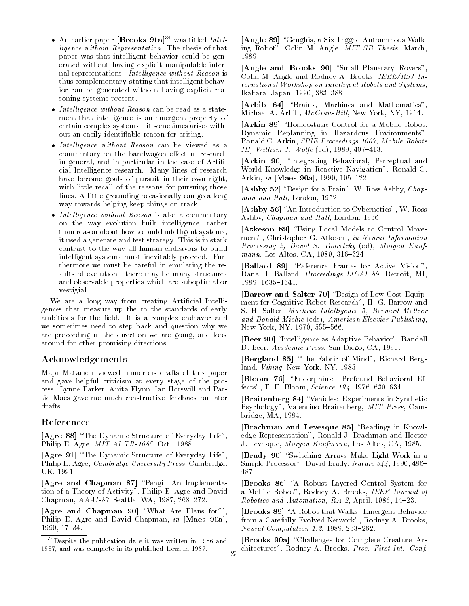- $\bullet$  An earlier paper [Brooks 91a]  $\degree$  was titled *Intel*ligence without Representation. The thesis of that paper was that intelligent behavior could be generated without having explicit manipulable internal representations. Intelligence without Reason is thus complementary, stating that intelligent behavior can be generated without having explicit reasoning systems present.
- Intel ligence without Reason can be read as a state ment that intelligence is an emergent property of certain complex systems-it sometimes arises without an easily identiable reason for arising.
- Intel ligence without Reason can be viewed as a commentary on the bandwagon effect in research in general, and in particular in the case of Artificial Intelligence research. Many lines of research have become goals of pursuit in their own right, with little recall of the reasons for pursuing those lines. A little grounding occasionally can go a long way towards helping keep things on track.
- Intel ligence without Reason is also a commentary on the way evolution built intelligence—rather than reason about how to build intelligent systems, it used a generate and test strategy. This is in stark contrast to the way all human endeavors to build intelligent systems must inevitably proceed. Furthermore we must be careful in emulating the results of evolution-there may be many structures and observable properties which are suboptimal or vestigial.

We are a long way from creating Artificial Intelligences that measure up the to the standards of early ambitions for the field. It is a complex endeavor and we sometimes need to step back and question why we are proceeding in the direction we are going, and look around for other promising directions.

# Acknowledgements

Maja Mataric reviewed numerous drafts of this paper and gave helpful criticism at every stage of the process. Lynne Parker, Anita Flynn, Ian Horswill and Pattie Maes gave me much constructive feedback on later drafts.

# References

[Agre 88] "The Dynamic Structure of Everyday Life", Philip E. Agre, MIT AI TR-1085, Oct., 1988.

[Agre 91] "The Dynamic Structure of Everyday Life", Philip E. Agre, Cambridge University Press, Cambridge, UK, 1991.

[Agre and Chapman 87] "Pengi: An Implementation of a Theory of Activity", Philip E. Agre and David Chapman,  $AAAI-87$ , Seattle, WA, 1987, 268-272.

[Agre and Chapman 90] \What Are Plans for?", Philip E. Agre and David Chapman, in [Maes 90a],  $1990, 17{-}34.$ 

[Angle 89] "Genghis, a Six Legged Autonomous Walking Robot", Colin M. Angle, MIT SB Thesis, March, 1989.

[Angle and Brooks 90] "Small Planetary Rovers", Colin M. Angle and Rodney A. Brooks, IEEE/RSJ International Workshop on Intelligent Robots and Systems, Ikabara, Japan, 1990, 383-388.

[Arbib 64] "Brains, Machines and Mathematics" Michael A. Arbib,  $McGraw-Hill$ , New York, NY, 1964.

[Arkin 89] "Homeostatic Control for a Mobile Robot: Dynamic Replanning in Hazardous Environments", Ronald C. Arkin, SPIE Proceedings 1007, Mobile Robots III, William J. Wolfe (ed), 1989, 407-413.

[Arkin 90] "Integrating Behavioral, Perceptual and World Knowledge in Reactive Navigation", Ronald C. Arkin, *in* [Maes 90a], 1990, 105-122.

[Ashby 52] "Design for a Brain", W. Ross Ashby,  $Chap$ man and Hall, London, 1952.

[Ashby 56] "An Introduction to Cybernetics", W. Ross Ashby, *Chapman and Hall*, London, 1956.

[Atkeson 89] "Using Local Models to Control Movement", Christopher G. Atkeson, in Neural Information Processing 2, David S. Touretzky (ed), Morgan Kauf mann, Los Altos, CA, 1989,  $316-324$ .

[Ballard 89] "Reference Frames for Active Vision" Dana H. Ballard, Proceedings IJCAI-89, Detroit, MI, 1989, 1635-1641.

[Barrow and Salter 70] "Design of Low-Cost Equipment for Cognitive Robot Research", H. G. Barrow and S. H. Salter, Machine Intelligence 5, Bernard Meltzer and Donald Michie (eds), American Elsevier Publishing, New York, NY, 1970, 555-566.

[Beer 90] \Intelligence as Adaptive Behavior", Randall D. Beer, Academic Press, San Diego, CA, 1990.

[Bergland 85] "The Fabric of Mind", Richard Bergland, Viking, New York, NY, 1985.

[Bloom 76] "Endorphins: Profound Behavioral Effects", F. E. Bloom, *Science*  $194$ , 1976, 630-634.

[Braitenberg 84] \Vehicles: Experiments in Synthetic Psychology", Valentino Braitenberg, MIT Press, Cambridge, Marshall, Marshall, Marshall, 1984.

[Brachman and Levesque 85] "Readings in Knowledge Representation", Ronald J. Brachman and Hector J. Levesque, Morgan Kaufmann, Los Altos, CA, 1985.

[Brady 90] "Switching Arrays Make Light Work in a Simple Processor", David Brady, Nature  $344$ , 1990, 486-487.

[Brooks 86] "A Robust Layered Control System for a Mobile Robot", Rodney A. Brooks, IEEE Journal of Robotics and Automation,  $RA-2$ , April, 1986, 14-23.

[Brooks 89] "A Robot that Walks: Emergent Behavior from a Carefully Evolved Network", Rodney A. Brooks, *Neural Computation 1:2,* 1989, 253-262.

[Brooks 90a] "Challenges for Complete Creature Architectures", Rodney A. Brooks, Proc. First Int. Conf.

<sup>34</sup>Despite the publication date it was written in 1986 and 1987, and was complete in its published form in 1987.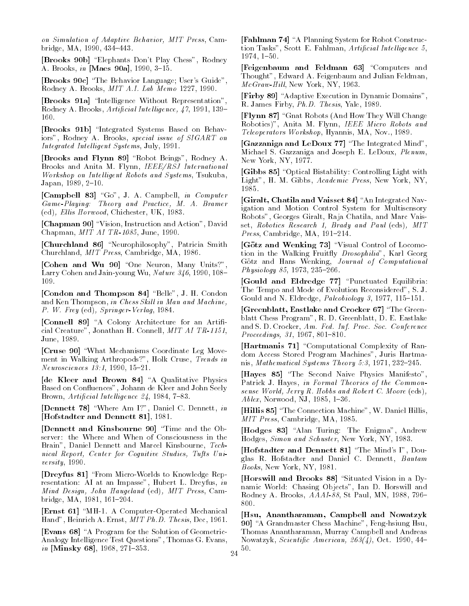on Simulation of Adaptive Behavior, MIT Press, Cam $bridge, MA, 1990, 434–443.$ 

[Brooks 90b] \Elephants Don't Play Chess", Rodney A. Brooks, in [Maes 90a], 1990, 3-15.

[Brooks 90c] \The Behavior Language; User's Guide", Rodney A. Brooks, MIT A.I. Lab Memo 1227, 1990.

[Brooks 91a] "Intelligence Without Representation" Rodney A. Brooks, Artificial Intelligence, 47, 1991, 139-160.

[Brooks 91b] \Integrated Systems Based on Behaviors", Rodney A. Brooks, special issue of SIGART on Integrated Intelligent Systems, July, 1991.

[Brooks and Flynn 89] "Robot Beings", Rodney A. Brooks and Anita M. Flynn, IEEE/RSJ International Workshop on Intelligent Robots and Systems, Tsukuba, Japan, 1989, 2-10.

[Campbell 83] "Go", J. A. Campbell, in Computer Game-Playing: Theory and Practice, M. A. Bramer (ed), Ellis Horwood, Chichester, UK, 1983.

[Chapman 90] \Vision, Instruction and Action", David Chapman, MIT AI TR-1085, June, 1990.

[Churchland 86] "Neurophilosophy", Patricia Smith Churchland, MIT Press, Cambridge, MA, 1986.

[Cohen and Wu 90] "One Neuron, Many Units?" Larry Cohen and Jain-young Wu, Nature  $346$ , 1990, 108-109.

[Condon and Thompson 84] "Belle", J. H. Condon and Ken Thompson, in Chess Skill in Man and Machine, P. W. Frey (ed), Springer-Verlag, 1984.

[Connell 89] "A Colony Architecture for an Artificial Creature", Jonathan H. Connell, MIT AI TR-1151, June, 1989.

[Cruse 90] \What Mechanisms Coordinate Leg Move ment in Walking Arthropods?", Holk Cruse, Trends in Neurosciences 13:1, 1990, 15-21.

[de Kleer and Brown 84] "A Qualitative Physics Based on Con
uences", Johann de Kleer and John Seely Brown,  $Artificial Intelligence 24, 1984, 7-83.$ 

[Dennett 78] \Where Am I?", Daniel C. Dennett, in [Hofstadter and Dennett 81], 1981.

[Dennett and Kinsbourne 90] "Time and the Observer: the Where and When of Consciousness in the Brain", Daniel Dennett and Marcel Kinsbourne, Technical Report, Center for Cognitive Studies, Tufts University, 1990.

[Dreyfus 81] \From Micro-Worlds to Knowledge Representation: AI at an Impasse", Hubert L. Dreyfus, in Mind Design, John Haugeland (ed), MIT Press, Cambridge, MA, 1981, 161-204.

[Ernst 61] \MH-1. A Computer-Operated Mechanical Hand", Heinrich A. Ernst, MIT Ph.D. Thesis, Dec, 1961.

**[Evans 68]** "A Program for the Solution of Geometric-Analogy Intelligence Test Questions", Thomas G. Evans,  $in$  [Minsky 68], 1968, 271-353.

[Fahlman 74] "A Planning System for Robot Construction Tasks", Scott E. Fahlman, Artificial Intelligence 5, 1974, 1-50.

[Feigenbaum and Feldman 63] "Computers and Thought", Edward A. Feigenbaum and Julian Feldman,  $McGraw-Hill$ , New York, NY, 1963.

[Firby 89] "Adaptive Execution in Dynamic Domains", R. James Firby, Ph.D. Thesis, Yale, 1989.

[Flynn 87] "Gnat Robots (And How They Will Change Robotics)", Anita M. Flynn, IEEE Micro Robots and Teleoperators Workshop, Hyannis, MA, Nov., 1989.

[Gazzaniga and LeDoux 77] "The Integrated Mind", Michael S. Gazzaniga and Joseph E. LeDoux, Plenum, New York, NY, 1977.

[Gibbs 85] "Optical Bistability: Controlling Light with Light", H. M. Gibbs, Academic Press, New York, NY, 1985.

[Giralt, Chatila and Vaisset 84] "An Integrated Navigation and Motion Control System for Multisensory Robots", Georges Giralt, Raja Chatila, and Marc Vaisset, Robotics Research 1, Brady and Paul (eds), MIT Press, Cambridge, MA,  $191-214$ .

[Götz and Wenking 73] "Visual Control of Locomotion in the Walking Fruitfly *Drosophilia*", Karl Georg Götz and Hans Wenking, Journal of Computational  $Physiology 85, 1973, 235-266.$ 

[Gould and Eldredge 77] "Punctuated Equilibria: The Tempo and Mode of Evolution Reconsidered", S. J. Gould and N. Eldredge,  $Pa\,leobiology\,3,$  1977, 115-151.

[Greenblatt, Eastlake and Crocker 67] "The Greenblatt Chess Program", R. D. Greenblatt, D. E. Eastlake and S. D. Crocker, Am. Fed. Inf. Proc. Soc. Conference  $Proceedings, 31, 1967, 801–810.$ 

[Hartmanis 71] "Computational Complexity of Random Access Stored Program Machines", Juris Hartmanis, Mathematical Systems Theory 5:3, 1971, 232-245.

[Hayes 85] "The Second Naive Physics Manifesto", Patrick J. Hayes, in Formal Theories of the Commonsense World, Jerry R. Hobbs and Robert C. Moore (eds),  $A \, blex$ , Norwood, NJ, 1985, 1-36.

[Hillis 85] "The Connection Machine", W. Daniel Hillis, MIT Press, Cambridge, MA, 1985.

[Hodges 83] "Alan Turing: The Enigma", Andrew Hodges, Simon and Schuster, New York, NY, 1983.

[Hofstadter and Dennett 81] "The Mind's I", Douglas R. Hofstadter and Daniel C. Dennett, Bantam Books, New York, NY, 1981.

[Horswill and Brooks 88] "Situated Vision in a Dynamic World: Chasing Objects", Ian D. Horswill and Rodney A. Brooks, AAAI-88, St Paul, MN, 1988, 796{ 800.

[Hsu, Anantharaman, Campbell and Nowatzyk 90] "A Grandmaster Chess Machine", Feng-hsiung Hsu, Thomas Anantharaman, Murray Campbell and Andreas Nowatzyk, Scientific American,  $263(4)$ , Oct. 1990, 44-50.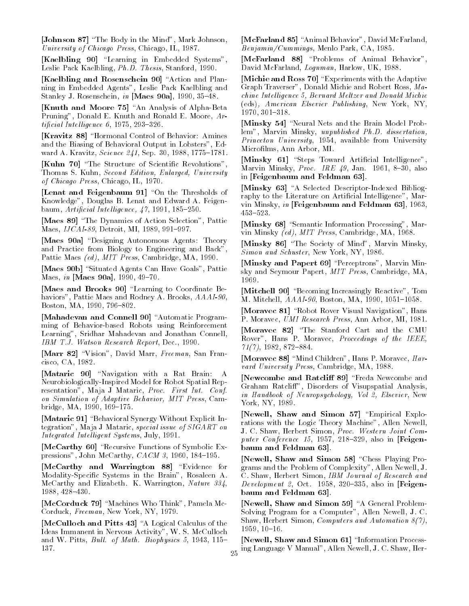[Johnson 87] "The Body in the Mind", Mark Johnson, University of Chicago Press, Chicago, IL, 1987.

[Kaelbling 90] "Learning in Embedded Systems", Leslie Pack Kaelbling, Ph.D. Thesis, Stanford, 1990.

[Kaelbling and Rosenschein 90] "Action and Planning in Embedded Agents", Leslie Pack Kaelbling and Stanley J. Rosenschein, in [Maes 90a], 1990, 35{48.

[Knuth and Moore 75] "An Analysis of Alpha-Beta Pruning", Donald E. Knuth and Ronald E. Moore, Artificial Intelligence  $6, 1975, 293{-}326$ .

[Kravitz 88] "Hormonal Control of Behavior: Amines and the Biasing of Behavioral Output in Lobsters", Ed ward A. Kravitz, Science 241, Sep. 30, 1988, 1775-1781.

[Kuhn 70] "The Structure of Scientific Revolutions", Thomas S. Kuhn, Second Edition, Enlarged, University of Chicago Press, Chicago, IL, 1970.

[Lenat and Feigenbaum 91] "On the Thresholds of Knowledge", Douglas B. Lenat and Edward A. Feigenbaum, Artificial Intelligence,  $47$ , 1991, 185-250.

[Maes 89] "The Dynamics of Action Selection", Pattie Maes, *IJCAI-89*, Detroit, MI, 1989, 991-997.

[Maes 90a] "Designing Autonomous Agents: Theory and Practice from Biology to Engineering and Back", Pattie Maes (ed), MIT Press, Cambridge, MA, 1990.

[Maes 90b] "Situated Agents Can Have Goals", Pattie Maes, in [Maes 90a],  $1990, 49-70$ .

[Maes and Brooks 90] "Learning to Coordinate Behaviors", Pattie Maes and Rodney A. Brooks, AAAI-90, Boston, MA, 1990, 796-802.

[Mahadevan and Connell 90] "Automatic Programming of Behavior-based Robots using Reinforcement Learning", Sridhar Mahadevan and Jonathan Connell, IBM T.J. Watson Research Report, Dec., 1990.

[Marr 82] "Vision", David Marr, Freeman, San Francisco, CA, 1982.

[Mataric 90] "Navigation with a Rat Brain: A Neurobiologically-Inspired Model for Robot Spatial Representation", Maja J Mataric, Proc. First Int. Conf. on Simulation of Adaptive Behavior, MIT Press, Cambridge, MA, 1990, 169-175.

[Mataric 91] "Behavioral Synergy Without Explicit Integration", Maja J Mataric, special issue of SIGART on Integrated Intelligent Systems, July, 1991.

[McCarthy 60] "Recursive Functions of Symbolic Expressions", John McCarthy,  $CA~CM~3$ , 1960, 184-195.

[McCarthy and Warrington 88] "Evidence for Modality-Specic Systems in the Brain", Rosaleen A. McCarthy and Elizabeth. K. Warrington, Nature 334, 1988, 428-430.

[McCorduck 79] "Machines Who Think", Pamela Mc-Corduck, Freeman, New York, NY, 1979.

 $[McCulloch and Pitts 43]$  "A Logical Calculus of the Ideas Immanent in Nervous Activity", W. S. McCulloch and W. Pitts, Bull. of Math. Biophysics 5, 1943, 115 $-$ 137.

[McFarland 85] "Animal Behavior", David McFarland, Benjamin/Cummings, Menlo Park, CA, 1985.

[McFarland 88] "Problems of Animal Behavior", David McFarland, Lognman, Harlow, UK, 1988.

[Michie and Ross 70] "Experiments with the Adaptive Graph Traverser", Donald Michie and Robert Ross, Machine Intel ligence 5, Bernard Meltzer and Donald Michie (eds), American Elsevier Publishing, New York, NY,  $1970, 301 - 318.$ 

[Minsky 54] "Neural Nets and the Brain Model Problem", Marvin Minsky, unpublished Ph.D. dissertation, Princeton University, 1954, available from University Microlms, Ann Arbor, MI.

[Minsky 61] "Steps Toward Artificial Intelligence", Marvin Minsky, Proc. IRE  $49$ , Jan. 1961, 8-30, also in [Feigenbaum and Feldman 63].

[Minsky 63] "A Selected Descriptor-Indexed Bibliography to the Literature on Artificial Intelligence", Marvin Minsky, in [Feigenbaum and Feldman 63], 1963, 453-523.

[Minsky 68] "Semantic Information Processing", Marvin Minsky (ed), MIT Press, Cambridge, MA, 1968.

[Minsky 86] "The Society of Mind", Marvin Minsky, Simon and Schuster, New York, NY, 1986.

[Minsky and Papert 69] "Perceptrons", Marvin Minsky and Seymour Papert, MIT Press, Cambridge, MA, 1969.

[Mitchell 90] "Becoming Increasingly Reactive", Tom M. Mitchell, AAAI-90, Boston, MA, 1990, 1051-1058.

[Moravec 81] "Robot Rover Visual Navigation", Hans P. Moravec, UMI Research Press, Ann Arbor, MI, 1981.

[Moravec 82] "The Stanford Cart and the CMU Rover", Hans P. Moravec, Proceedings of the IEEE,  $71(7)$ , 1982, 872-884.

[Moravec 88] "Mind Children", Hans P. Moravec,  $Har$ vard University Press, Cambridge, MA, 1988.

[Newcombe and Ratcliff 89] "Freda Newcombe and Graham Ratcliff", Disorders of Visupspatial Analysis, in Handbook of Neuropsychology, Vol 2, Elsevier, New York, NY, 1989.

[Newell, Shaw and Simon 57] "Empirical Explorations with the Logic Theory Machine", Allen Newell, J. C. Shaw, Herbert Simon, Proc. Western Joint Computer Conference 15, 1957, 218-329, also in [Feigenbaum and Feldman 63].

[Newell, Shaw and Simon 58] "Chess Playing Programs and the Problem of Complexity", Allen Newell, J. C. Shaw, Herbert Simon, IBM Journal of Research and Development 2, Oct. 1958, 320-335, also in [Feigenbaum and Feldman 63].

[Newell, Shaw and Simon 59] "A General Problem-Solving Program for a Computer", Allen Newell, J. C. Shaw, Herbert Simon, Computers and Automation 8(7),  $1959, 10-16.$ 

[Newell, Shaw and Simon 61] "Information Processing Language V Manual", Allen Newell, J. C. Shaw, Her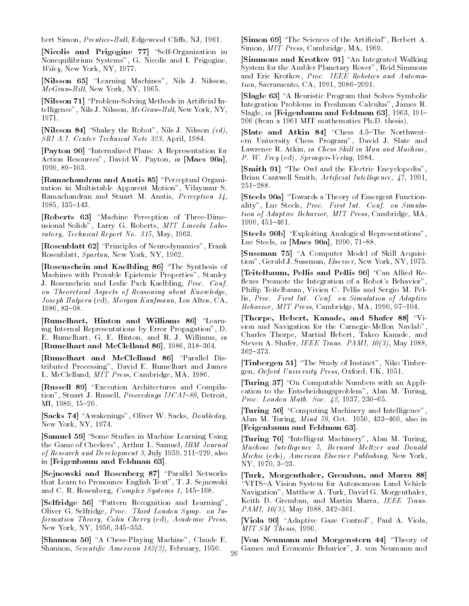bert Simon, *Prentice-Hall*, Edgewood Cliffs, NJ, 1961.

[Nicolis and Prigogine 77] "Self-Organization in Nonequilibrium Systems", G. Nicolis and I. Prigogine, Wiley, New York, NY, 1977.

[Nilsson 65] "Learning Machines", Nils J. Nilsson,  $McGraw-Hill$ , New York, NY, 1965.

[Nilsson 71] "Problem-Solving Methods in Artificial Intelligence", Nils J. Nilsson,  $McGraw-Hill$ , New York, NY, 1971.

[Nilsson 84] "Shakey the Robot", Nils J. Nilsson  $(ed)$ , SRI A.I. Center Technical Note 323, April, 1984.

[Payton 90] \Internalized Plans: A Representation for Action Resources", David W. Payton, in [Maes 90a], 1990, 89-103.

[Ramachandran and Anstis 85] "Perceptual Organization in Multistable Apparent Motion", Vilayanur S. Ramachandran and Stuart M. Anstis, Perception 14, 1985, 135-143.

[Roberts 63] "Machine Perception of Three-Dimensional Solids", Larry G. Roberts, MIT Lincoln Laboratory, Technical Report No. 315, May, 1963.

[Rosenblatt 62] \Principles of Neurodynamics", Frank Rosenblatt, Spartan, New York, NY, 1962.

[Rosenschein and Kaelbling 86] "The Synthesis of Machines with Provable Epistemic Properties", Stanley J. Rosenschein and Leslie Pack Kaelbling, Proc. Conf. on Theoretical Aspects of Reasoning about Knowledge, Joseph Halpern (ed), Morgan Kaufmann, Los Altos, CA, 1986, 83-98.

[Rumelhart, Hinton and Williams 86] "Learning Internal Representations by Error Propagation", D. E. Rumelhart, G. E. Hinton, and R. J. Williams, in [Rumelhart and McClelland 86],  $1986, 318-364$ .

[Rumelhart and McClelland 86] "Parallel Distributed Processing", David E. Rumelhart and James L. McClelland, MIT Press, Cambridge, MA, 1986.

[Russell 89] "Execution Architectures and Compilation", Stuart J. Russell, Proceedings IJCAI-89, Detroit, MI, 1989, 15-20.

[Sacks 74] "Awakenings", Oliver W. Sacks, Doubleday, New York, NY, 1974.

[Samuel 59] "Some Studies in Machine Learning Using the Game of Checkers", Arthur L. Samuel, IBM Journal of Research and Development 3, July 1959, 211-229, also in [Feigenbaum and Feldman 63].

[Sejnowski and Rosenberg 87] \Parallel Networks that Learn to Pronounce English Text", T. J. Sejnowski and C. R. Rosenberg,  $Complex$  Systems 1, 145-168.

[Selfridge 56] \Pattern Recognition and Learning", Oliver G. Selfridge, Proc. Third London Symp. on Information Theory, Colin Cherry (ed), Academic Press, New York, NY, 1956, 345-353.

[Shannon 50] "A Chess-Playing Machine", Claude E. Shannon, Scientic American 182(2), February, 1950.

26

[Simon 69] "The Sciences of the Artificial", Herbert A. Simon, MIT Press, Cambridge, MA, 1969.

[Simmons and Krotkov 91] "An Integrated Walking System for the Ambler Planetary Rover", Reid Simmons and Eric Krotkov, Proc. IEEE Robotics and Automa $tion, Sacramento, CA, 1991, 2086-2091.$ 

[Slagle 63] "A Heuristic Program that Solves Symbolic Integration Problems in Freshman Calculus", James R. Slagle, in [Feigenbaum and Feldman  $63$ ],  $1963$ ,  $191-$ 206 (from a 1961 MIT mathematics Ph.D. thesis).

[Slate and Atkin 84] "Chess 4.5-The Northwestern University Chess Program", David J. Slate and Lawrence R. Atkin, in Chess Skill in Man and Machine, P. W. Frey (ed), Springer-Verlag, 1984.

[Smith 91] "The Owl and the Electric Encyclopedia" Brian Cantwell Smith, Artificial Intelligence, 47, 1991,  $251 - 288$ .

[Steels 90a] "Towards a Theory of Emergent Functionality", Luc Steels, Proc. First Int. Conf. on Simulation of Adaptive Behavior, MIT Press, Cambridge, MA, 1990, 451-461.

[Steels 90b] "Exploiting Analogical Representations", Luc Steels, in [Maes 90a], 1990, 71-88.

[Sussman 75] "A Computer Model of Skill Acquisition", Gerald J. Sussman, Elsevier, New York, NY, 1975.

[Teitelbaum, Pellis and Pellis 90] "Can Allied Reflexes Promote the Integration of a Robot's Behavior", Philip Teitelbaum, Vivien C. Pellis and Sergio M. Pellis, Proc. First Int. Conf. on Simulation of Adaptive Behavior, MIT Press, Cambridge, MA, 1990, 97-104.

[Thorpe, Hebert, Kanade, and Shafer 88] \Vision and Navigation for the Carnegie-Mellon Navlab", Charles Thorpe, Martial Hebert, Takeo Kanade, and Steven A. Shafer, IEEE Trans. PAMI, 10(3), May 1988,  $362 - 373.$ 

[Tinbergen 51] \The Study of Instinct", Niko Tinbergen, Oxford University Press, Oxford, UK, 1951.

[Turing 37] "On Computable Numbers with an Application to the Entscheidungsproblem", Alan M. Turing, Proc. London Math. Soc.  $4\bar{2}$ , 1937, 230-65.

[Turing 50] \Computing Machinery and Intelligence", Alan M. Turing,  $Mind$  59, Oct. 1950, 433-460, also in [Feigenbaum and Feldman 63].

[Turing 70] \Intelligent Machinery", Alan M. Turing, Machine Intelligence 5, Bernard Meltzer and Donald Michie (eds), American Elsevier Publishing, New York, NY, 1970, 3-23.

[Turk, Morgenthaler, Gremban, and Marra 88] "VITS-A Vision System for Autonomous Land Vehicle Navigation", Matthew A. Turk, David G. Morgenthaler, Keith D. Gremban, and Martin Marra, IEEE Trans. PAMI,  $10(3)$ , May 1988, 342-361.

[Viola 90] "Adaptive Gaze Control", Paul A. Viola, MIT SM Thesis, 1990.

[Von Neumann and Morgenstern 44] "Theory of Games and Economic Behavior", J. von Neumann and